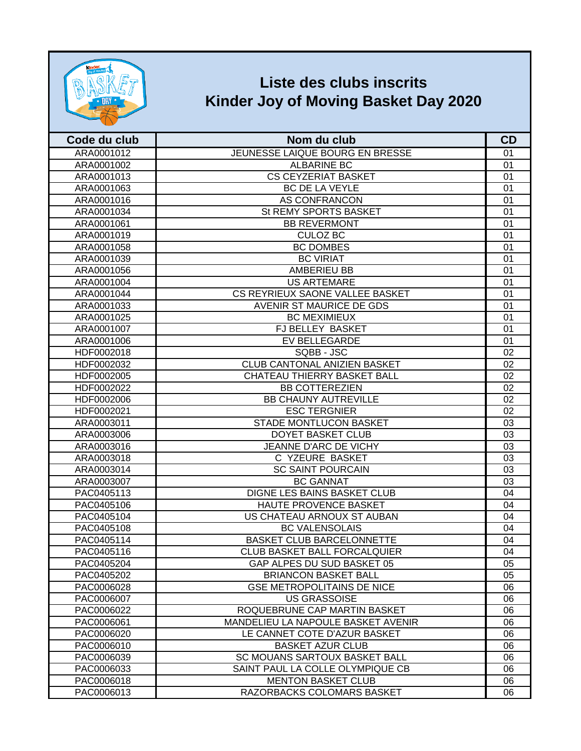

## **Liste des clubs inscrits Kinder Joy of Moving Basket Day 2020**

| Code du club | Nom du club                         | CD |
|--------------|-------------------------------------|----|
| ARA0001012   | JEUNESSE LAIQUE BOURG EN BRESSE     | 01 |
| ARA0001002   | <b>ALBARINE BC</b>                  | 01 |
| ARA0001013   | <b>CS CEYZERIAT BASKET</b>          | 01 |
| ARA0001063   | BC DE LA VEYLE                      | 01 |
| ARA0001016   | AS CONFRANCON                       | 01 |
| ARA0001034   | St REMY SPORTS BASKET               | 01 |
| ARA0001061   | <b>BB REVERMONT</b>                 | 01 |
| ARA0001019   | <b>CULOZ BC</b>                     | 01 |
| ARA0001058   | <b>BC DOMBES</b>                    | 01 |
| ARA0001039   | <b>BC VIRIAT</b>                    | 01 |
| ARA0001056   | <b>AMBERIEU BB</b>                  | 01 |
| ARA0001004   | <b>US ARTEMARE</b>                  | 01 |
| ARA0001044   | CS REYRIEUX SAONE VALLEE BASKET     | 01 |
| ARA0001033   | AVENIR ST MAURICE DE GDS            | 01 |
| ARA0001025   | <b>BC MEXIMIEUX</b>                 | 01 |
| ARA0001007   | FJ BELLEY BASKET                    | 01 |
| ARA0001006   | EV BELLEGARDE                       | 01 |
| HDF0002018   | SQBB - JSC                          | 02 |
| HDF0002032   | <b>CLUB CANTONAL ANIZIEN BASKET</b> | 02 |
| HDF0002005   | CHATEAU THIERRY BASKET BALL         | 02 |
| HDF0002022   | <b>BB COTTEREZIEN</b>               | 02 |
| HDF0002006   | <b>BB CHAUNY AUTREVILLE</b>         | 02 |
| HDF0002021   | <b>ESC TERGNIER</b>                 | 02 |
| ARA0003011   | <b>STADE MONTLUCON BASKET</b>       | 03 |
| ARA0003006   | <b>DOYET BASKET CLUB</b>            | 03 |
| ARA0003016   | JEANNE D'ARC DE VICHY               | 03 |
| ARA0003018   | C YZEURE BASKET                     | 03 |
| ARA0003014   | <b>SC SAINT POURCAIN</b>            | 03 |
| ARA0003007   | <b>BC GANNAT</b>                    | 03 |
| PAC0405113   | DIGNE LES BAINS BASKET CLUB         | 04 |
| PAC0405106   | HAUTE PROVENCE BASKET               | 04 |
| PAC0405104   | US CHATEAU ARNOUX ST AUBAN          | 04 |
| PAC0405108   | <b>BC VALENSOLAIS</b>               | 04 |
| PAC0405114   | <b>BASKET CLUB BARCELONNETTE</b>    | 04 |
| PAC0405116   | <b>CLUB BASKET BALL FORCALQUIER</b> | 04 |
| PAC0405204   | GAP ALPES DU SUD BASKET 05          | 05 |
| PAC0405202   | <b>BRIANCON BASKET BALL</b>         | 05 |
| PAC0006028   | <b>GSE METROPOLITAINS DE NICE</b>   | 06 |
| PAC0006007   | <b>US GRASSOISE</b>                 | 06 |
| PAC0006022   | ROQUEBRUNE CAP MARTIN BASKET        | 06 |
| PAC0006061   | MANDELIEU LA NAPOULE BASKET AVENIR  | 06 |
| PAC0006020   | LE CANNET COTE D'AZUR BASKET        | 06 |
| PAC0006010   | <b>BASKET AZUR CLUB</b>             | 06 |
| PAC0006039   | SC MOUANS SARTOUX BASKET BALL       | 06 |
| PAC0006033   | SAINT PAUL LA COLLE OLYMPIQUE CB    | 06 |
| PAC0006018   | <b>MENTON BASKET CLUB</b>           | 06 |
| PAC0006013   | RAZORBACKS COLOMARS BASKET          | 06 |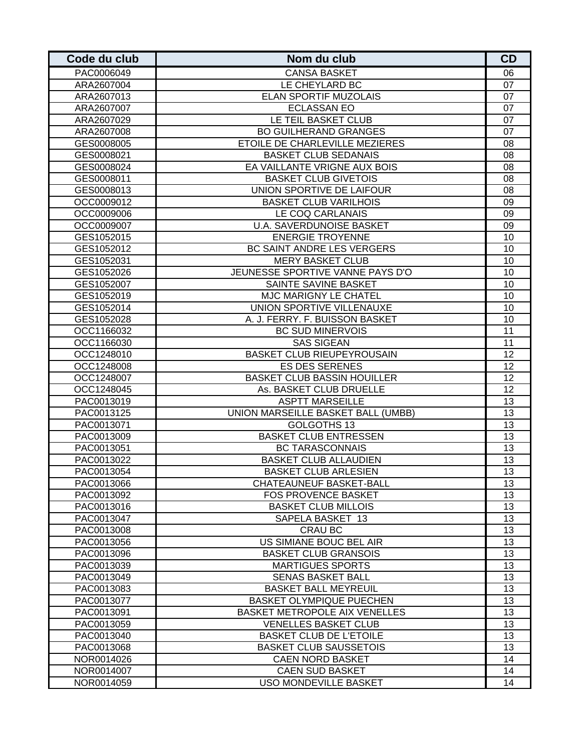| Code du club | Nom du club                        | <b>CD</b> |
|--------------|------------------------------------|-----------|
| PAC0006049   | <b>CANSA BASKET</b>                | 06        |
| ARA2607004   | LE CHEYLARD BC                     | 07        |
| ARA2607013   | <b>ELAN SPORTIF MUZOLAIS</b>       | 07        |
| ARA2607007   | <b>ECLASSAN EO</b>                 | 07        |
| ARA2607029   | LE TEIL BASKET CLUB                | 07        |
| ARA2607008   | <b>BO GUILHERAND GRANGES</b>       | 07        |
| GES0008005   | ETOILE DE CHARLEVILLE MEZIERES     | 08        |
| GES0008021   | <b>BASKET CLUB SEDANAIS</b>        | 08        |
| GES0008024   | EA VAILLANTE VRIGNE AUX BOIS       | 08        |
| GES0008011   | <b>BASKET CLUB GIVETOIS</b>        | 08        |
| GES0008013   | UNION SPORTIVE DE LAIFOUR          | 08        |
| OCC0009012   | <b>BASKET CLUB VARILHOIS</b>       | 09        |
| OCC0009006   | LE COQ CARLANAIS                   | 09        |
| OCC0009007   | <b>U.A. SAVERDUNOISE BASKET</b>    | 09        |
| GES1052015   | <b>ENERGIE TROYENNE</b>            | 10        |
| GES1052012   | BC SAINT ANDRE LES VERGERS         | 10        |
| GES1052031   | <b>MERY BASKET CLUB</b>            | 10        |
| GES1052026   | JEUNESSE SPORTIVE VANNE PAYS D'O   | 10        |
| GES1052007   | SAINTE SAVINE BASKET               | 10        |
| GES1052019   | MJC MARIGNY LE CHATEL              | 10        |
| GES1052014   | UNION SPORTIVE VILLENAUXE          | 10        |
| GES1052028   | A. J. FERRY. F. BUISSON BASKET     | 10        |
| OCC1166032   | <b>BC SUD MINERVOIS</b>            | 11        |
| OCC1166030   | <b>SAS SIGEAN</b>                  | 11        |
| OCC1248010   | BASKET CLUB RIEUPEYROUSAIN         | 12        |
| OCC1248008   | <b>ES DES SERENES</b>              | 12        |
| OCC1248007   | <b>BASKET CLUB BASSIN HOUILLER</b> | 12        |
| OCC1248045   | As. BASKET CLUB DRUELLE            | 12        |
| PAC0013019   | <b>ASPTT MARSEILLE</b>             | 13        |
| PAC0013125   | UNION MARSEILLE BASKET BALL (UMBB) | 13        |
| PAC0013071   | GOLGOTHS 13                        | 13        |
| PAC0013009   | <b>BASKET CLUB ENTRESSEN</b>       | 13        |
| PAC0013051   | <b>BC TARASCONNAIS</b>             | 13        |
| PAC0013022   | <b>BASKET CLUB ALLAUDIEN</b>       | 13        |
| PAC0013054   | <b>BASKET CLUB ARLESIEN</b>        | 13        |
| PAC0013066   | <b>CHATEAUNEUF BASKET-BALL</b>     | 13        |
| PAC0013092   | <b>FOS PROVENCE BASKET</b>         | 13        |
| PAC0013016   | <b>BASKET CLUB MILLOIS</b>         | 13        |
| PAC0013047   | SAPELA BASKET 13                   | 13        |
| PAC0013008   | CRAU BC                            | 13        |
| PAC0013056   | US SIMIANE BOUC BEL AIR            | 13        |
| PAC0013096   | <b>BASKET CLUB GRANSOIS</b>        | 13        |
| PAC0013039   | <b>MARTIGUES SPORTS</b>            | 13        |
| PAC0013049   | <b>SENAS BASKET BALL</b>           | 13        |
| PAC0013083   | <b>BASKET BALL MEYREUIL</b>        | 13        |
| PAC0013077   | <b>BASKET OLYMPIQUE PUECHEN</b>    | 13        |
| PAC0013091   | BASKET METROPOLE AIX VENELLES      | 13        |
| PAC0013059   | <b>VENELLES BASKET CLUB</b>        | 13        |
| PAC0013040   | <b>BASKET CLUB DE L'ETOILE</b>     | 13        |
| PAC0013068   | <b>BASKET CLUB SAUSSETOIS</b>      | 13        |
| NOR0014026   | <b>CAEN NORD BASKET</b>            | 14        |
| NOR0014007   | <b>CAEN SUD BASKET</b>             | 14        |
| NOR0014059   | <b>USO MONDEVILLE BASKET</b>       | 14        |
|              |                                    |           |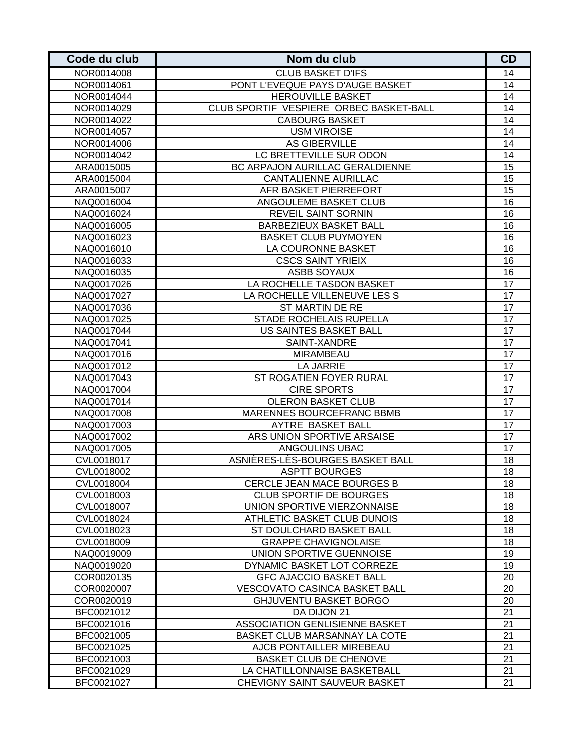| Code du club | Nom du club                             | CD              |
|--------------|-----------------------------------------|-----------------|
| NOR0014008   | <b>CLUB BASKET D'IFS</b>                | 14              |
| NOR0014061   | PONT L'EVEQUE PAYS D'AUGE BASKET        | 14              |
| NOR0014044   | <b>HEROUVILLE BASKET</b>                | 14              |
| NOR0014029   | CLUB SPORTIF VESPIERE ORBEC BASKET-BALL | 14              |
| NOR0014022   | <b>CABOURG BASKET</b>                   | 14              |
| NOR0014057   | <b>USM VIROISE</b>                      | 14              |
| NOR0014006   | <b>AS GIBERVILLE</b>                    | 14              |
| NOR0014042   | LC BRETTEVILLE SUR ODON                 | 14              |
| ARA0015005   | BC ARPAJON AURILLAC GERALDIENNE         | 15              |
| ARA0015004   | <b>CANTALIENNE AURILLAC</b>             | 15              |
| ARA0015007   | AFR BASKET PIERREFORT                   | 15              |
| NAQ0016004   | ANGOULEME BASKET CLUB                   | 16              |
| NAQ0016024   | REVEIL SAINT SORNIN                     | 16              |
| NAQ0016005   | <b>BARBEZIEUX BASKET BALL</b>           | 16              |
| NAQ0016023   | <b>BASKET CLUB PUYMOYEN</b>             | 16              |
| NAQ0016010   | LA COURONNE BASKET                      | 16              |
| NAQ0016033   | <b>CSCS SAINT YRIEIX</b>                | 16              |
| NAQ0016035   | ASBB SOYAUX                             | 16              |
| NAQ0017026   | LA ROCHELLE TASDON BASKET               | 17              |
| NAQ0017027   | LA ROCHELLE VILLENEUVE LES S            | 17              |
| NAQ0017036   | <b>ST MARTIN DE RE</b>                  | 17              |
| NAQ0017025   | STADE ROCHELAIS RUPELLA                 | 17              |
| NAQ0017044   | US SAINTES BASKET BALL                  | 17              |
| NAQ0017041   | SAINT-XANDRE                            | 17              |
| NAQ0017016   | <b>MIRAMBEAU</b>                        | 17              |
| NAQ0017012   | LA JARRIE                               | 17              |
| NAQ0017043   | ST ROGATIEN FOYER RURAL                 | 17              |
| NAQ0017004   | <b>CIRE SPORTS</b>                      | 17              |
| NAQ0017014   | <b>OLERON BASKET CLUB</b>               | 17              |
| NAQ0017008   | <b>MARENNES BOURCEFRANC BBMB</b>        | 17              |
| NAQ0017003   | AYTRE BASKET BALL                       | 17              |
| NAQ0017002   | ARS UNION SPORTIVE ARSAISE              | 17              |
| NAQ0017005   | ANGOULINS UBAC                          | 17              |
| CVL0018017   | ASNIÈRES-LÈS-BOURGES BASKET BALL        | 18              |
| CVL0018002   | <b>ASPTT BOURGES</b>                    | 18              |
| CVL0018004   | CERCLE JEAN MACE BOURGES B              | 18              |
| CVL0018003   | <b>CLUB SPORTIF DE BOURGES</b>          | 18              |
| CVL0018007   | UNION SPORTIVE VIERZONNAISE             | 18              |
| CVL0018024   | ATHLETIC BASKET CLUB DUNOIS             | 18              |
| CVL0018023   | ST DOULCHARD BASKET BALL                | 18              |
| CVL0018009   | <b>GRAPPE CHAVIGNOLAISE</b>             | 18              |
| NAQ0019009   | UNION SPORTIVE GUENNOISE                | 19              |
| NAQ0019020   | DYNAMIC BASKET LOT CORREZE              | 19              |
| COR0020135   | <b>GFC AJACCIO BASKET BALL</b>          | 20              |
| COR0020007   | VESCOVATO CASINCA BASKET BALL           | 20              |
| COR0020019   | <b>GHJUVENTU BASKET BORGO</b>           | 20              |
| BFC0021012   | DA DIJON 21                             | 21              |
| BFC0021016   | ASSOCIATION GENLISIENNE BASKET          | 21              |
| BFC0021005   | BASKET CLUB MARSANNAY LA COTE           | 21              |
| BFC0021025   | AJCB PONTAILLER MIREBEAU                | $\overline{21}$ |
| BFC0021003   | BASKET CLUB DE CHENOVE                  | 21              |
| BFC0021029   | LA CHATILLONNAISE BASKETBALL            | 21              |
| BFC0021027   | CHEVIGNY SAINT SAUVEUR BASKET           | 21              |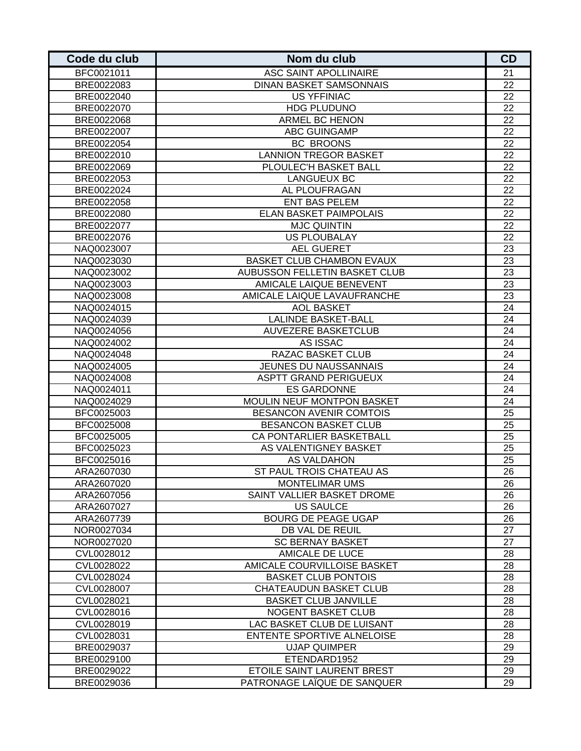| Code du club | Nom du club                    | CD |
|--------------|--------------------------------|----|
| BFC0021011   | ASC SAINT APOLLINAIRE          | 21 |
| BRE0022083   | <b>DINAN BASKET SAMSONNAIS</b> | 22 |
| BRE0022040   | <b>US YFFINIAC</b>             | 22 |
| BRE0022070   | <b>HDG PLUDUNO</b>             | 22 |
| BRE0022068   | <b>ARMEL BC HENON</b>          | 22 |
| BRE0022007   | <b>ABC GUINGAMP</b>            | 22 |
| BRE0022054   | <b>BC BROONS</b>               | 22 |
| BRE0022010   | <b>LANNION TREGOR BASKET</b>   | 22 |
| BRE0022069   | PLOULEC'H BASKET BALL          | 22 |
| BRE0022053   | <b>LANGUEUX BC</b>             | 22 |
| BRE0022024   | AL PLOUFRAGAN                  | 22 |
| BRE0022058   | <b>ENT BAS PELEM</b>           | 22 |
| BRE0022080   | <b>ELAN BASKET PAIMPOLAIS</b>  | 22 |
| BRE0022077   | <b>MJC QUINTIN</b>             | 22 |
| BRE0022076   | <b>US PLOUBALAY</b>            | 22 |
| NAQ0023007   | <b>AEL GUERET</b>              | 23 |
| NAQ0023030   | BASKET CLUB CHAMBON EVAUX      | 23 |
| NAQ0023002   | AUBUSSON FELLETIN BASKET CLUB  | 23 |
| NAQ0023003   | AMICALE LAIQUE BENEVENT        | 23 |
| NAQ0023008   | AMICALE LAIQUE LAVAUFRANCHE    | 23 |
| NAQ0024015   | <b>AOL BASKET</b>              | 24 |
| NAQ0024039   | <b>LALINDE BASKET-BALL</b>     | 24 |
| NAQ0024056   | <b>AUVEZERE BASKETCLUB</b>     | 24 |
| NAQ0024002   | AS ISSAC                       | 24 |
| NAQ0024048   | RAZAC BASKET CLUB              | 24 |
| NAQ0024005   | JEUNES DU NAUSSANNAIS          | 24 |
| NAQ0024008   | <b>ASPTT GRAND PERIGUEUX</b>   | 24 |
| NAQ0024011   | <b>ES GARDONNE</b>             | 24 |
| NAQ0024029   | MOULIN NEUF MONTPON BASKET     | 24 |
| BFC0025003   | <b>BESANCON AVENIR COMTOIS</b> | 25 |
| BFC0025008   | BESANCON BASKET CLUB           | 25 |
| BFC0025005   | CA PONTARLIER BASKETBALL       | 25 |
| BFC0025023   | AS VALENTIGNEY BASKET          | 25 |
| BFC0025016   | AS VALDAHON                    | 25 |
| ARA2607030   | ST PAUL TROIS CHATEAU AS       | 26 |
| ARA2607020   | <b>MONTELIMAR UMS</b>          | 26 |
| ARA2607056   | SAINT VALLIER BASKET DROME     | 26 |
| ARA2607027   | <b>US SAULCE</b>               | 26 |
| ARA2607739   | <b>BOURG DE PEAGE UGAP</b>     | 26 |
| NOR0027034   | <b>DB VAL DE REUIL</b>         | 27 |
| NOR0027020   | <b>SC BERNAY BASKET</b>        | 27 |
| CVL0028012   | AMICALE DE LUCE                | 28 |
| CVL0028022   | AMICALE COURVILLOISE BASKET    | 28 |
| CVL0028024   | <b>BASKET CLUB PONTOIS</b>     | 28 |
| CVL0028007   | <b>CHATEAUDUN BASKET CLUB</b>  | 28 |
| CVL0028021   | <b>BASKET CLUB JANVILLE</b>    | 28 |
| CVL0028016   | NOGENT BASKET CLUB             | 28 |
| CVL0028019   | LAC BASKET CLUB DE LUISANT     | 28 |
| CVL0028031   | ENTENTE SPORTIVE ALNELOISE     | 28 |
| BRE0029037   | <b>UJAP QUIMPER</b>            | 29 |
| BRE0029100   | ETENDARD1952                   | 29 |
| BRE0029022   | ETOILE SAINT LAURENT BREST     | 29 |
| BRE0029036   | PATRONAGE LAÏQUE DE SANQUER    | 29 |
|              |                                |    |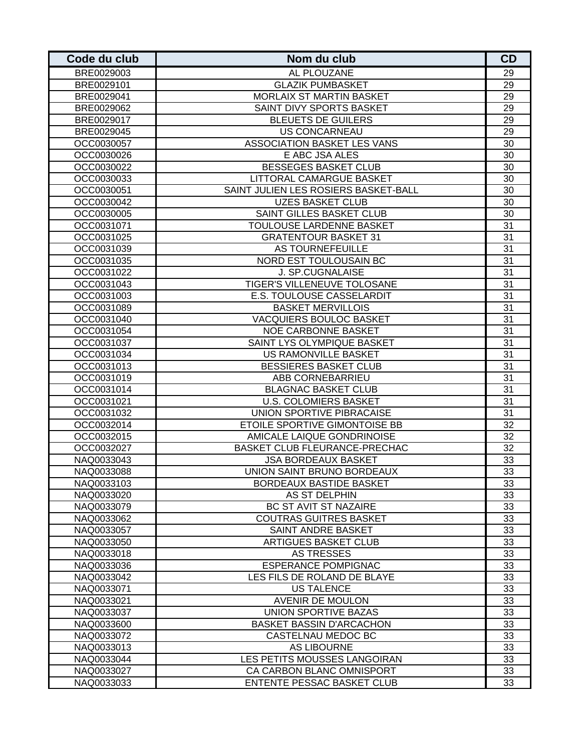| Code du club | Nom du club                          | CD              |
|--------------|--------------------------------------|-----------------|
| BRE0029003   | AL PLOUZANE                          | 29              |
| BRE0029101   | <b>GLAZIK PUMBASKET</b>              | 29              |
| BRE0029041   | <b>MORLAIX ST MARTIN BASKET</b>      | 29              |
| BRE0029062   | SAINT DIVY SPORTS BASKET             | 29              |
| BRE0029017   | <b>BLEUETS DE GUILERS</b>            | 29              |
| BRE0029045   | <b>US CONCARNEAU</b>                 | 29              |
| OCC0030057   | ASSOCIATION BASKET LES VANS          | 30              |
| OCC0030026   | E ABC JSA ALES                       | 30              |
| OCC0030022   | <b>BESSEGES BASKET CLUB</b>          | 30              |
| OCC0030033   | LITTORAL CAMARGUE BASKET             | 30              |
| OCC0030051   | SAINT JULIEN LES ROSIERS BASKET-BALL | 30              |
| OCC0030042   | <b>UZES BASKET CLUB</b>              | 30              |
| OCC0030005   | SAINT GILLES BASKET CLUB             | 30              |
| OCC0031071   | TOULOUSE LARDENNE BASKET             | 31              |
| OCC0031025   | <b>GRATENTOUR BASKET 31</b>          | 31              |
| OCC0031039   | AS TOURNEFEUILLE                     | 31              |
| OCC0031035   | NORD EST TOULOUSAIN BC               | 31              |
| OCC0031022   | J. SP.CUGNALAISE                     | 31              |
| OCC0031043   | TIGER'S VILLENEUVE TOLOSANE          | 31              |
| OCC0031003   | <b>E.S. TOULOUSE CASSELARDIT</b>     | 31              |
| OCC0031089   | <b>BASKET MERVILLOIS</b>             | $\overline{31}$ |
| OCC0031040   | <b>VACQUIERS BOULOC BASKET</b>       | 31              |
| OCC0031054   | <b>NOE CARBONNE BASKET</b>           | 31              |
| OCC0031037   | SAINT LYS OLYMPIQUE BASKET           | 31              |
| OCC0031034   | US RAMONVILLE BASKET                 | 31              |
| OCC0031013   | <b>BESSIERES BASKET CLUB</b>         | 31              |
| OCC0031019   | <b>ABB CORNEBARRIEU</b>              | 31              |
| OCC0031014   | <b>BLAGNAC BASKET CLUB</b>           | 31              |
| OCC0031021   | <b>U.S. COLOMIERS BASKET</b>         | 31              |
| OCC0031032   | UNION SPORTIVE PIBRACAISE            | 31              |
| OCC0032014   | ETOILE SPORTIVE GIMONTOISE BB        | 32              |
| OCC0032015   | AMICALE LAIQUE GONDRINOISE           | 32              |
| OCC0032027   | BASKET CLUB FLEURANCE-PRECHAC        | 32              |
| NAQ0033043   | <b>JSA BORDEAUX BASKET</b>           | 33              |
| NAQ0033088   | UNION SAINT BRUNO BORDEAUX           | 33              |
| NAQ0033103   | BORDEAUX BASTIDE BASKET              | 33              |
| NAQ0033020   | AS ST DELPHIN                        | 33              |
| NAQ0033079   | BC ST AVIT ST NAZAIRE                | 33              |
| NAQ0033062   | <b>COUTRAS GUITRES BASKET</b>        | 33              |
| NAQ0033057   | SAINT ANDRE BASKET                   | 33              |
| NAQ0033050   | <b>ARTIGUES BASKET CLUB</b>          | 33              |
| NAQ0033018   | <b>AS TRESSES</b>                    | 33              |
| NAQ0033036   | <b>ESPERANCE POMPIGNAC</b>           | 33              |
| NAQ0033042   | LES FILS DE ROLAND DE BLAYE          | 33              |
| NAQ0033071   | <b>US TALENCE</b>                    | 33              |
| NAQ0033021   | <b>AVENIR DE MOULON</b>              | 33              |
| NAQ0033037   | UNION SPORTIVE BAZAS                 | 33              |
| NAQ0033600   | <b>BASKET BASSIN D'ARCACHON</b>      | 33              |
| NAQ0033072   | CASTELNAU MEDOC BC                   | 33              |
| NAQ0033013   | <b>AS LIBOURNE</b>                   | 33              |
| NAQ0033044   | LES PETITS MOUSSES LANGOIRAN         | 33              |
| NAQ0033027   | CA CARBON BLANC OMNISPORT            | 33              |
| NAQ0033033   | <b>ENTENTE PESSAC BASKET CLUB</b>    | 33              |
|              |                                      |                 |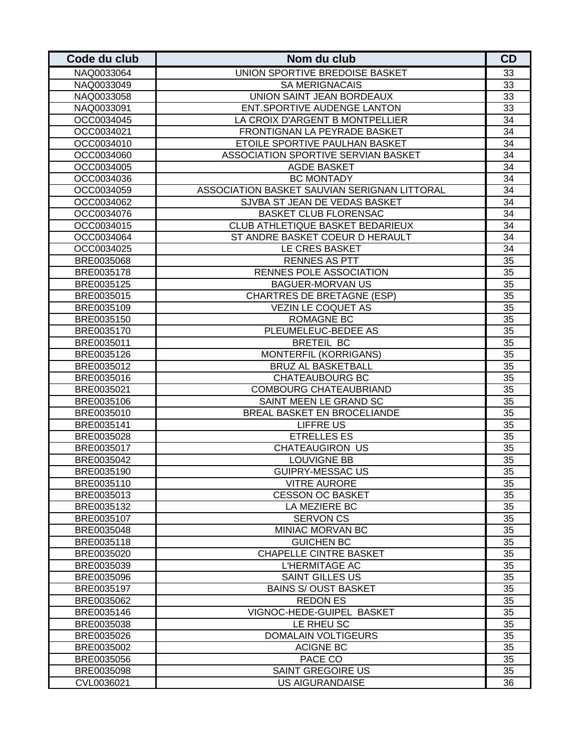| UNION SPORTIVE BREDOISE BASKET<br>33<br>NAQ0033064<br>33<br><b>SA MERIGNACAIS</b><br>NAQ0033049<br>UNION SAINT JEAN BORDEAUX<br>33<br>NAQ0033058<br>ENT.SPORTIVE AUDENGE LANTON<br>33<br>NAQ0033091<br>LA CROIX D'ARGENT B MONTPELLIER<br>34<br>OCC0034045<br>34<br>FRONTIGNAN LA PEYRADE BASKET<br>OCC0034021<br>34<br>ETOILE SPORTIVE PAULHAN BASKET<br>OCC0034010<br>34<br>ASSOCIATION SPORTIVE SERVIAN BASKET<br>OCC0034060<br>34<br>OCC0034005<br><b>AGDE BASKET</b><br>34<br>OCC0034036<br><b>BC MONTADY</b><br>34<br>OCC0034059<br>ASSOCIATION BASKET SAUVIAN SERIGNAN LITTORAL<br>SJVBA ST JEAN DE VEDAS BASKET<br>34<br>OCC0034062<br><b>BASKET CLUB FLORENSAC</b><br>34<br>OCC0034076<br>CLUB ATHLETIQUE BASKET BEDARIEUX<br>34<br>OCC0034015<br>34<br>ST ANDRE BASKET COEUR D HERAULT<br>OCC0034064<br>34<br>LE CRES BASKET<br>OCC0034025<br><b>RENNES AS PTT</b><br>35<br>BRE0035068<br>RENNES POLE ASSOCIATION<br>35<br>BRE0035178<br>35<br><b>BAGUER-MORVAN US</b><br>BRE0035125<br><b>CHARTRES DE BRETAGNE (ESP)</b><br>35<br>BRE0035015<br><b>VEZIN LE COQUET AS</b><br>35<br>BRE0035109<br><b>ROMAGNE BC</b><br>35<br>BRE0035150<br>35<br>PLEUMELEUC-BEDEE AS<br>BRE0035170<br>35<br><b>BRETEIL BC</b><br>BRE0035011<br>35<br><b>MONTERFIL (KORRIGANS)</b><br>BRE0035126<br>$\overline{35}$<br><b>BRUZ AL BASKETBALL</b><br>BRE0035012<br>$\overline{35}$<br>BRE0035016<br><b>CHATEAUBOURG BC</b><br><b>COMBOURG CHATEAUBRIAND</b><br>35<br>BRE0035021<br>SAINT MEEN LE GRAND SC<br>35<br>BRE0035106<br>35<br>BRE0035010<br>BREAL BASKET EN BROCELIANDE<br><b>LIFFRE US</b><br>35<br>BRE0035141<br><b>ETRELLES ES</b><br>35<br>BRE0035028<br><b>CHATEAUGIRON US</b><br>35<br>BRE0035017<br>BRE0035042<br><b>LOUVIGNE BB</b><br>35<br><b>GUIPRY-MESSAC US</b><br>35<br>BRE0035190<br>BRE0035110<br><b>VITRE AURORE</b><br>35<br>35<br>BRE0035013<br><b>CESSON OC BASKET</b><br>LA MEZIERE BC<br>35<br>BRE0035132<br>35<br>BRE0035107<br>SERVON CS<br>35<br>BRE0035048<br>MINIAC MORVAN BC<br>35<br><b>GUICHEN BC</b><br>BRE0035118<br>35<br><b>CHAPELLE CINTRE BASKET</b><br>BRE0035020<br>35<br>L'HERMITAGE AC<br>BRE0035039<br>35<br>BRE0035096<br><b>SAINT GILLES US</b><br>35<br>BRE0035197<br><b>BAINS S/OUST BASKET</b><br>35<br>BRE0035062<br><b>REDON ES</b><br>VIGNOC-HEDE-GUIPEL BASKET<br>35<br>BRE0035146<br>LE RHEU SC<br>35<br>BRE0035038<br>35<br>DOMALAIN VOLTIGEURS<br>BRE0035026<br><b>ACIGNE BC</b><br>35<br>BRE0035002<br>PACE CO<br>35<br>BRE0035056<br>35<br><b>SAINT GREGOIRE US</b><br>BRE0035098<br><b>US AIGURANDAISE</b><br>36<br>CVL0036021 | Code du club | Nom du club | CD |
|-----------------------------------------------------------------------------------------------------------------------------------------------------------------------------------------------------------------------------------------------------------------------------------------------------------------------------------------------------------------------------------------------------------------------------------------------------------------------------------------------------------------------------------------------------------------------------------------------------------------------------------------------------------------------------------------------------------------------------------------------------------------------------------------------------------------------------------------------------------------------------------------------------------------------------------------------------------------------------------------------------------------------------------------------------------------------------------------------------------------------------------------------------------------------------------------------------------------------------------------------------------------------------------------------------------------------------------------------------------------------------------------------------------------------------------------------------------------------------------------------------------------------------------------------------------------------------------------------------------------------------------------------------------------------------------------------------------------------------------------------------------------------------------------------------------------------------------------------------------------------------------------------------------------------------------------------------------------------------------------------------------------------------------------------------------------------------------------------------------------------------------------------------------------------------------------------------------------------------------------------------------------------------------------------------------------------------------------------------------------------------------------------------------------------------------------------------------------------------------------------------------------------------------------------------------------------------------------|--------------|-------------|----|
|                                                                                                                                                                                                                                                                                                                                                                                                                                                                                                                                                                                                                                                                                                                                                                                                                                                                                                                                                                                                                                                                                                                                                                                                                                                                                                                                                                                                                                                                                                                                                                                                                                                                                                                                                                                                                                                                                                                                                                                                                                                                                                                                                                                                                                                                                                                                                                                                                                                                                                                                                                                         |              |             |    |
|                                                                                                                                                                                                                                                                                                                                                                                                                                                                                                                                                                                                                                                                                                                                                                                                                                                                                                                                                                                                                                                                                                                                                                                                                                                                                                                                                                                                                                                                                                                                                                                                                                                                                                                                                                                                                                                                                                                                                                                                                                                                                                                                                                                                                                                                                                                                                                                                                                                                                                                                                                                         |              |             |    |
|                                                                                                                                                                                                                                                                                                                                                                                                                                                                                                                                                                                                                                                                                                                                                                                                                                                                                                                                                                                                                                                                                                                                                                                                                                                                                                                                                                                                                                                                                                                                                                                                                                                                                                                                                                                                                                                                                                                                                                                                                                                                                                                                                                                                                                                                                                                                                                                                                                                                                                                                                                                         |              |             |    |
|                                                                                                                                                                                                                                                                                                                                                                                                                                                                                                                                                                                                                                                                                                                                                                                                                                                                                                                                                                                                                                                                                                                                                                                                                                                                                                                                                                                                                                                                                                                                                                                                                                                                                                                                                                                                                                                                                                                                                                                                                                                                                                                                                                                                                                                                                                                                                                                                                                                                                                                                                                                         |              |             |    |
|                                                                                                                                                                                                                                                                                                                                                                                                                                                                                                                                                                                                                                                                                                                                                                                                                                                                                                                                                                                                                                                                                                                                                                                                                                                                                                                                                                                                                                                                                                                                                                                                                                                                                                                                                                                                                                                                                                                                                                                                                                                                                                                                                                                                                                                                                                                                                                                                                                                                                                                                                                                         |              |             |    |
|                                                                                                                                                                                                                                                                                                                                                                                                                                                                                                                                                                                                                                                                                                                                                                                                                                                                                                                                                                                                                                                                                                                                                                                                                                                                                                                                                                                                                                                                                                                                                                                                                                                                                                                                                                                                                                                                                                                                                                                                                                                                                                                                                                                                                                                                                                                                                                                                                                                                                                                                                                                         |              |             |    |
|                                                                                                                                                                                                                                                                                                                                                                                                                                                                                                                                                                                                                                                                                                                                                                                                                                                                                                                                                                                                                                                                                                                                                                                                                                                                                                                                                                                                                                                                                                                                                                                                                                                                                                                                                                                                                                                                                                                                                                                                                                                                                                                                                                                                                                                                                                                                                                                                                                                                                                                                                                                         |              |             |    |
|                                                                                                                                                                                                                                                                                                                                                                                                                                                                                                                                                                                                                                                                                                                                                                                                                                                                                                                                                                                                                                                                                                                                                                                                                                                                                                                                                                                                                                                                                                                                                                                                                                                                                                                                                                                                                                                                                                                                                                                                                                                                                                                                                                                                                                                                                                                                                                                                                                                                                                                                                                                         |              |             |    |
|                                                                                                                                                                                                                                                                                                                                                                                                                                                                                                                                                                                                                                                                                                                                                                                                                                                                                                                                                                                                                                                                                                                                                                                                                                                                                                                                                                                                                                                                                                                                                                                                                                                                                                                                                                                                                                                                                                                                                                                                                                                                                                                                                                                                                                                                                                                                                                                                                                                                                                                                                                                         |              |             |    |
|                                                                                                                                                                                                                                                                                                                                                                                                                                                                                                                                                                                                                                                                                                                                                                                                                                                                                                                                                                                                                                                                                                                                                                                                                                                                                                                                                                                                                                                                                                                                                                                                                                                                                                                                                                                                                                                                                                                                                                                                                                                                                                                                                                                                                                                                                                                                                                                                                                                                                                                                                                                         |              |             |    |
|                                                                                                                                                                                                                                                                                                                                                                                                                                                                                                                                                                                                                                                                                                                                                                                                                                                                                                                                                                                                                                                                                                                                                                                                                                                                                                                                                                                                                                                                                                                                                                                                                                                                                                                                                                                                                                                                                                                                                                                                                                                                                                                                                                                                                                                                                                                                                                                                                                                                                                                                                                                         |              |             |    |
|                                                                                                                                                                                                                                                                                                                                                                                                                                                                                                                                                                                                                                                                                                                                                                                                                                                                                                                                                                                                                                                                                                                                                                                                                                                                                                                                                                                                                                                                                                                                                                                                                                                                                                                                                                                                                                                                                                                                                                                                                                                                                                                                                                                                                                                                                                                                                                                                                                                                                                                                                                                         |              |             |    |
|                                                                                                                                                                                                                                                                                                                                                                                                                                                                                                                                                                                                                                                                                                                                                                                                                                                                                                                                                                                                                                                                                                                                                                                                                                                                                                                                                                                                                                                                                                                                                                                                                                                                                                                                                                                                                                                                                                                                                                                                                                                                                                                                                                                                                                                                                                                                                                                                                                                                                                                                                                                         |              |             |    |
|                                                                                                                                                                                                                                                                                                                                                                                                                                                                                                                                                                                                                                                                                                                                                                                                                                                                                                                                                                                                                                                                                                                                                                                                                                                                                                                                                                                                                                                                                                                                                                                                                                                                                                                                                                                                                                                                                                                                                                                                                                                                                                                                                                                                                                                                                                                                                                                                                                                                                                                                                                                         |              |             |    |
|                                                                                                                                                                                                                                                                                                                                                                                                                                                                                                                                                                                                                                                                                                                                                                                                                                                                                                                                                                                                                                                                                                                                                                                                                                                                                                                                                                                                                                                                                                                                                                                                                                                                                                                                                                                                                                                                                                                                                                                                                                                                                                                                                                                                                                                                                                                                                                                                                                                                                                                                                                                         |              |             |    |
|                                                                                                                                                                                                                                                                                                                                                                                                                                                                                                                                                                                                                                                                                                                                                                                                                                                                                                                                                                                                                                                                                                                                                                                                                                                                                                                                                                                                                                                                                                                                                                                                                                                                                                                                                                                                                                                                                                                                                                                                                                                                                                                                                                                                                                                                                                                                                                                                                                                                                                                                                                                         |              |             |    |
|                                                                                                                                                                                                                                                                                                                                                                                                                                                                                                                                                                                                                                                                                                                                                                                                                                                                                                                                                                                                                                                                                                                                                                                                                                                                                                                                                                                                                                                                                                                                                                                                                                                                                                                                                                                                                                                                                                                                                                                                                                                                                                                                                                                                                                                                                                                                                                                                                                                                                                                                                                                         |              |             |    |
|                                                                                                                                                                                                                                                                                                                                                                                                                                                                                                                                                                                                                                                                                                                                                                                                                                                                                                                                                                                                                                                                                                                                                                                                                                                                                                                                                                                                                                                                                                                                                                                                                                                                                                                                                                                                                                                                                                                                                                                                                                                                                                                                                                                                                                                                                                                                                                                                                                                                                                                                                                                         |              |             |    |
|                                                                                                                                                                                                                                                                                                                                                                                                                                                                                                                                                                                                                                                                                                                                                                                                                                                                                                                                                                                                                                                                                                                                                                                                                                                                                                                                                                                                                                                                                                                                                                                                                                                                                                                                                                                                                                                                                                                                                                                                                                                                                                                                                                                                                                                                                                                                                                                                                                                                                                                                                                                         |              |             |    |
|                                                                                                                                                                                                                                                                                                                                                                                                                                                                                                                                                                                                                                                                                                                                                                                                                                                                                                                                                                                                                                                                                                                                                                                                                                                                                                                                                                                                                                                                                                                                                                                                                                                                                                                                                                                                                                                                                                                                                                                                                                                                                                                                                                                                                                                                                                                                                                                                                                                                                                                                                                                         |              |             |    |
|                                                                                                                                                                                                                                                                                                                                                                                                                                                                                                                                                                                                                                                                                                                                                                                                                                                                                                                                                                                                                                                                                                                                                                                                                                                                                                                                                                                                                                                                                                                                                                                                                                                                                                                                                                                                                                                                                                                                                                                                                                                                                                                                                                                                                                                                                                                                                                                                                                                                                                                                                                                         |              |             |    |
|                                                                                                                                                                                                                                                                                                                                                                                                                                                                                                                                                                                                                                                                                                                                                                                                                                                                                                                                                                                                                                                                                                                                                                                                                                                                                                                                                                                                                                                                                                                                                                                                                                                                                                                                                                                                                                                                                                                                                                                                                                                                                                                                                                                                                                                                                                                                                                                                                                                                                                                                                                                         |              |             |    |
|                                                                                                                                                                                                                                                                                                                                                                                                                                                                                                                                                                                                                                                                                                                                                                                                                                                                                                                                                                                                                                                                                                                                                                                                                                                                                                                                                                                                                                                                                                                                                                                                                                                                                                                                                                                                                                                                                                                                                                                                                                                                                                                                                                                                                                                                                                                                                                                                                                                                                                                                                                                         |              |             |    |
|                                                                                                                                                                                                                                                                                                                                                                                                                                                                                                                                                                                                                                                                                                                                                                                                                                                                                                                                                                                                                                                                                                                                                                                                                                                                                                                                                                                                                                                                                                                                                                                                                                                                                                                                                                                                                                                                                                                                                                                                                                                                                                                                                                                                                                                                                                                                                                                                                                                                                                                                                                                         |              |             |    |
|                                                                                                                                                                                                                                                                                                                                                                                                                                                                                                                                                                                                                                                                                                                                                                                                                                                                                                                                                                                                                                                                                                                                                                                                                                                                                                                                                                                                                                                                                                                                                                                                                                                                                                                                                                                                                                                                                                                                                                                                                                                                                                                                                                                                                                                                                                                                                                                                                                                                                                                                                                                         |              |             |    |
|                                                                                                                                                                                                                                                                                                                                                                                                                                                                                                                                                                                                                                                                                                                                                                                                                                                                                                                                                                                                                                                                                                                                                                                                                                                                                                                                                                                                                                                                                                                                                                                                                                                                                                                                                                                                                                                                                                                                                                                                                                                                                                                                                                                                                                                                                                                                                                                                                                                                                                                                                                                         |              |             |    |
|                                                                                                                                                                                                                                                                                                                                                                                                                                                                                                                                                                                                                                                                                                                                                                                                                                                                                                                                                                                                                                                                                                                                                                                                                                                                                                                                                                                                                                                                                                                                                                                                                                                                                                                                                                                                                                                                                                                                                                                                                                                                                                                                                                                                                                                                                                                                                                                                                                                                                                                                                                                         |              |             |    |
|                                                                                                                                                                                                                                                                                                                                                                                                                                                                                                                                                                                                                                                                                                                                                                                                                                                                                                                                                                                                                                                                                                                                                                                                                                                                                                                                                                                                                                                                                                                                                                                                                                                                                                                                                                                                                                                                                                                                                                                                                                                                                                                                                                                                                                                                                                                                                                                                                                                                                                                                                                                         |              |             |    |
|                                                                                                                                                                                                                                                                                                                                                                                                                                                                                                                                                                                                                                                                                                                                                                                                                                                                                                                                                                                                                                                                                                                                                                                                                                                                                                                                                                                                                                                                                                                                                                                                                                                                                                                                                                                                                                                                                                                                                                                                                                                                                                                                                                                                                                                                                                                                                                                                                                                                                                                                                                                         |              |             |    |
|                                                                                                                                                                                                                                                                                                                                                                                                                                                                                                                                                                                                                                                                                                                                                                                                                                                                                                                                                                                                                                                                                                                                                                                                                                                                                                                                                                                                                                                                                                                                                                                                                                                                                                                                                                                                                                                                                                                                                                                                                                                                                                                                                                                                                                                                                                                                                                                                                                                                                                                                                                                         |              |             |    |
|                                                                                                                                                                                                                                                                                                                                                                                                                                                                                                                                                                                                                                                                                                                                                                                                                                                                                                                                                                                                                                                                                                                                                                                                                                                                                                                                                                                                                                                                                                                                                                                                                                                                                                                                                                                                                                                                                                                                                                                                                                                                                                                                                                                                                                                                                                                                                                                                                                                                                                                                                                                         |              |             |    |
|                                                                                                                                                                                                                                                                                                                                                                                                                                                                                                                                                                                                                                                                                                                                                                                                                                                                                                                                                                                                                                                                                                                                                                                                                                                                                                                                                                                                                                                                                                                                                                                                                                                                                                                                                                                                                                                                                                                                                                                                                                                                                                                                                                                                                                                                                                                                                                                                                                                                                                                                                                                         |              |             |    |
|                                                                                                                                                                                                                                                                                                                                                                                                                                                                                                                                                                                                                                                                                                                                                                                                                                                                                                                                                                                                                                                                                                                                                                                                                                                                                                                                                                                                                                                                                                                                                                                                                                                                                                                                                                                                                                                                                                                                                                                                                                                                                                                                                                                                                                                                                                                                                                                                                                                                                                                                                                                         |              |             |    |
|                                                                                                                                                                                                                                                                                                                                                                                                                                                                                                                                                                                                                                                                                                                                                                                                                                                                                                                                                                                                                                                                                                                                                                                                                                                                                                                                                                                                                                                                                                                                                                                                                                                                                                                                                                                                                                                                                                                                                                                                                                                                                                                                                                                                                                                                                                                                                                                                                                                                                                                                                                                         |              |             |    |
|                                                                                                                                                                                                                                                                                                                                                                                                                                                                                                                                                                                                                                                                                                                                                                                                                                                                                                                                                                                                                                                                                                                                                                                                                                                                                                                                                                                                                                                                                                                                                                                                                                                                                                                                                                                                                                                                                                                                                                                                                                                                                                                                                                                                                                                                                                                                                                                                                                                                                                                                                                                         |              |             |    |
|                                                                                                                                                                                                                                                                                                                                                                                                                                                                                                                                                                                                                                                                                                                                                                                                                                                                                                                                                                                                                                                                                                                                                                                                                                                                                                                                                                                                                                                                                                                                                                                                                                                                                                                                                                                                                                                                                                                                                                                                                                                                                                                                                                                                                                                                                                                                                                                                                                                                                                                                                                                         |              |             |    |
|                                                                                                                                                                                                                                                                                                                                                                                                                                                                                                                                                                                                                                                                                                                                                                                                                                                                                                                                                                                                                                                                                                                                                                                                                                                                                                                                                                                                                                                                                                                                                                                                                                                                                                                                                                                                                                                                                                                                                                                                                                                                                                                                                                                                                                                                                                                                                                                                                                                                                                                                                                                         |              |             |    |
|                                                                                                                                                                                                                                                                                                                                                                                                                                                                                                                                                                                                                                                                                                                                                                                                                                                                                                                                                                                                                                                                                                                                                                                                                                                                                                                                                                                                                                                                                                                                                                                                                                                                                                                                                                                                                                                                                                                                                                                                                                                                                                                                                                                                                                                                                                                                                                                                                                                                                                                                                                                         |              |             |    |
|                                                                                                                                                                                                                                                                                                                                                                                                                                                                                                                                                                                                                                                                                                                                                                                                                                                                                                                                                                                                                                                                                                                                                                                                                                                                                                                                                                                                                                                                                                                                                                                                                                                                                                                                                                                                                                                                                                                                                                                                                                                                                                                                                                                                                                                                                                                                                                                                                                                                                                                                                                                         |              |             |    |
|                                                                                                                                                                                                                                                                                                                                                                                                                                                                                                                                                                                                                                                                                                                                                                                                                                                                                                                                                                                                                                                                                                                                                                                                                                                                                                                                                                                                                                                                                                                                                                                                                                                                                                                                                                                                                                                                                                                                                                                                                                                                                                                                                                                                                                                                                                                                                                                                                                                                                                                                                                                         |              |             |    |
|                                                                                                                                                                                                                                                                                                                                                                                                                                                                                                                                                                                                                                                                                                                                                                                                                                                                                                                                                                                                                                                                                                                                                                                                                                                                                                                                                                                                                                                                                                                                                                                                                                                                                                                                                                                                                                                                                                                                                                                                                                                                                                                                                                                                                                                                                                                                                                                                                                                                                                                                                                                         |              |             |    |
|                                                                                                                                                                                                                                                                                                                                                                                                                                                                                                                                                                                                                                                                                                                                                                                                                                                                                                                                                                                                                                                                                                                                                                                                                                                                                                                                                                                                                                                                                                                                                                                                                                                                                                                                                                                                                                                                                                                                                                                                                                                                                                                                                                                                                                                                                                                                                                                                                                                                                                                                                                                         |              |             |    |
|                                                                                                                                                                                                                                                                                                                                                                                                                                                                                                                                                                                                                                                                                                                                                                                                                                                                                                                                                                                                                                                                                                                                                                                                                                                                                                                                                                                                                                                                                                                                                                                                                                                                                                                                                                                                                                                                                                                                                                                                                                                                                                                                                                                                                                                                                                                                                                                                                                                                                                                                                                                         |              |             |    |
|                                                                                                                                                                                                                                                                                                                                                                                                                                                                                                                                                                                                                                                                                                                                                                                                                                                                                                                                                                                                                                                                                                                                                                                                                                                                                                                                                                                                                                                                                                                                                                                                                                                                                                                                                                                                                                                                                                                                                                                                                                                                                                                                                                                                                                                                                                                                                                                                                                                                                                                                                                                         |              |             |    |
|                                                                                                                                                                                                                                                                                                                                                                                                                                                                                                                                                                                                                                                                                                                                                                                                                                                                                                                                                                                                                                                                                                                                                                                                                                                                                                                                                                                                                                                                                                                                                                                                                                                                                                                                                                                                                                                                                                                                                                                                                                                                                                                                                                                                                                                                                                                                                                                                                                                                                                                                                                                         |              |             |    |
|                                                                                                                                                                                                                                                                                                                                                                                                                                                                                                                                                                                                                                                                                                                                                                                                                                                                                                                                                                                                                                                                                                                                                                                                                                                                                                                                                                                                                                                                                                                                                                                                                                                                                                                                                                                                                                                                                                                                                                                                                                                                                                                                                                                                                                                                                                                                                                                                                                                                                                                                                                                         |              |             |    |
|                                                                                                                                                                                                                                                                                                                                                                                                                                                                                                                                                                                                                                                                                                                                                                                                                                                                                                                                                                                                                                                                                                                                                                                                                                                                                                                                                                                                                                                                                                                                                                                                                                                                                                                                                                                                                                                                                                                                                                                                                                                                                                                                                                                                                                                                                                                                                                                                                                                                                                                                                                                         |              |             |    |
|                                                                                                                                                                                                                                                                                                                                                                                                                                                                                                                                                                                                                                                                                                                                                                                                                                                                                                                                                                                                                                                                                                                                                                                                                                                                                                                                                                                                                                                                                                                                                                                                                                                                                                                                                                                                                                                                                                                                                                                                                                                                                                                                                                                                                                                                                                                                                                                                                                                                                                                                                                                         |              |             |    |
|                                                                                                                                                                                                                                                                                                                                                                                                                                                                                                                                                                                                                                                                                                                                                                                                                                                                                                                                                                                                                                                                                                                                                                                                                                                                                                                                                                                                                                                                                                                                                                                                                                                                                                                                                                                                                                                                                                                                                                                                                                                                                                                                                                                                                                                                                                                                                                                                                                                                                                                                                                                         |              |             |    |
|                                                                                                                                                                                                                                                                                                                                                                                                                                                                                                                                                                                                                                                                                                                                                                                                                                                                                                                                                                                                                                                                                                                                                                                                                                                                                                                                                                                                                                                                                                                                                                                                                                                                                                                                                                                                                                                                                                                                                                                                                                                                                                                                                                                                                                                                                                                                                                                                                                                                                                                                                                                         |              |             |    |
|                                                                                                                                                                                                                                                                                                                                                                                                                                                                                                                                                                                                                                                                                                                                                                                                                                                                                                                                                                                                                                                                                                                                                                                                                                                                                                                                                                                                                                                                                                                                                                                                                                                                                                                                                                                                                                                                                                                                                                                                                                                                                                                                                                                                                                                                                                                                                                                                                                                                                                                                                                                         |              |             |    |
|                                                                                                                                                                                                                                                                                                                                                                                                                                                                                                                                                                                                                                                                                                                                                                                                                                                                                                                                                                                                                                                                                                                                                                                                                                                                                                                                                                                                                                                                                                                                                                                                                                                                                                                                                                                                                                                                                                                                                                                                                                                                                                                                                                                                                                                                                                                                                                                                                                                                                                                                                                                         |              |             |    |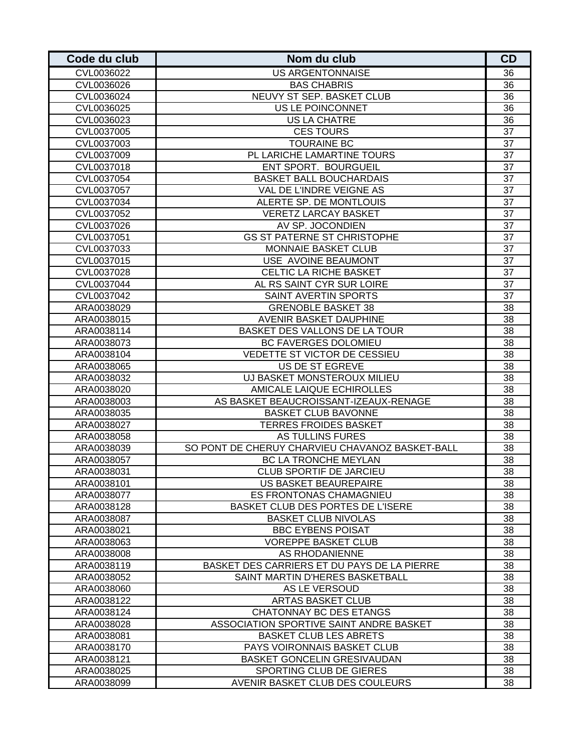| Code du club | Nom du club                                     | <b>CD</b>       |
|--------------|-------------------------------------------------|-----------------|
| CVL0036022   | <b>US ARGENTONNAISE</b>                         | 36              |
| CVL0036026   | <b>BAS CHABRIS</b>                              | 36              |
| CVL0036024   | NEUVY ST SEP. BASKET CLUB                       | 36              |
| CVL0036025   | US LE POINCONNET                                | 36              |
| CVL0036023   | <b>US LA CHATRE</b>                             | 36              |
| CVL0037005   | <b>CES TOURS</b>                                | 37              |
| CVL0037003   | <b>TOURAINE BC</b>                              | 37              |
| CVL0037009   | PL LARICHE LAMARTINE TOURS                      | 37              |
| CVL0037018   | <b>ENT SPORT. BOURGUEIL</b>                     | 37              |
| CVL0037054   | <b>BASKET BALL BOUCHARDAIS</b>                  | 37              |
| CVL0037057   | VAL DE L'INDRE VEIGNE AS                        | 37              |
| CVL0037034   | ALERTE SP. DE MONTLOUIS                         | 37              |
| CVL0037052   | <b>VERETZ LARCAY BASKET</b>                     | 37              |
| CVL0037026   | AV SP. JOCONDIEN                                | 37              |
| CVL0037051   | <b>GS ST PATERNE ST CHRISTOPHE</b>              | 37              |
| CVL0037033   | MONNAIE BASKET CLUB                             | 37              |
| CVL0037015   | USE AVOINE BEAUMONT                             | 37              |
| CVL0037028   | CELTIC LA RICHE BASKET                          | 37              |
| CVL0037044   | AL RS SAINT CYR SUR LOIRE                       | 37              |
| CVL0037042   | SAINT AVERTIN SPORTS                            | 37              |
| ARA0038029   | <b>GRENOBLE BASKET 38</b>                       | 38              |
| ARA0038015   | AVENIR BASKET DAUPHINE                          | 38              |
| ARA0038114   | BASKET DES VALLONS DE LA TOUR                   | 38              |
| ARA0038073   | BC FAVERGES DOLOMIEU                            | 38              |
| ARA0038104   | VEDETTE ST VICTOR DE CESSIEU                    | $\overline{38}$ |
| ARA0038065   | US DE ST EGREVE                                 | 38              |
| ARA0038032   | UJ BASKET MONSTEROUX MILIEU                     | 38              |
| ARA0038020   | AMICALE LAIQUE ECHIROLLES                       | 38              |
| ARA0038003   | AS BASKET BEAUCROISSANT-IZEAUX-RENAGE           | 38              |
| ARA0038035   | <b>BASKET CLUB BAVONNE</b>                      | 38              |
| ARA0038027   | <b>TERRES FROIDES BASKET</b>                    | 38              |
| ARA0038058   | AS TULLINS FURES                                | 38              |
| ARA0038039   | SO PONT DE CHERUY CHARVIEU CHAVANOZ BASKET-BALL | 38              |
| ARA0038057   | BC LA TRONCHE MEYLAN                            | 38              |
| ARA0038031   | <b>CLUB SPORTIF DE JARCIEU</b>                  | 38              |
| ARA0038101   | US BASKET BEAUREPAIRE                           | 38              |
| ARA0038077   | ES FRONTONAS CHAMAGNIEU                         | 38              |
| ARA0038128   | BASKET CLUB DES PORTES DE L'ISERE               | 38              |
| ARA0038087   | <b>BASKET CLUB NIVOLAS</b>                      | 38              |
| ARA0038021   | <b>BBC EYBENS POISAT</b>                        | 38              |
| ARA0038063   | <b>VOREPPE BASKET CLUB</b>                      | 38              |
| ARA0038008   | AS RHODANIENNE                                  | 38              |
| ARA0038119   | BASKET DES CARRIERS ET DU PAYS DE LA PIERRE     | 38              |
| ARA0038052   | SAINT MARTIN D'HERES BASKETBALL                 | 38              |
| ARA0038060   | AS LE VERSOUD                                   | 38              |
| ARA0038122   | <b>ARTAS BASKET CLUB</b>                        | 38              |
| ARA0038124   | <b>CHATONNAY BC DES ETANGS</b>                  | 38              |
| ARA0038028   | ASSOCIATION SPORTIVE SAINT ANDRE BASKET         | 38              |
| ARA0038081   | <b>BASKET CLUB LES ABRETS</b>                   | 38              |
| ARA0038170   | PAYS VOIRONNAIS BASKET CLUB                     | 38              |
| ARA0038121   | <b>BASKET GONCELIN GRESIVAUDAN</b>              | 38              |
| ARA0038025   | SPORTING CLUB DE GIERES                         | 38              |
| ARA0038099   | AVENIR BASKET CLUB DES COULEURS                 | 38              |
|              |                                                 |                 |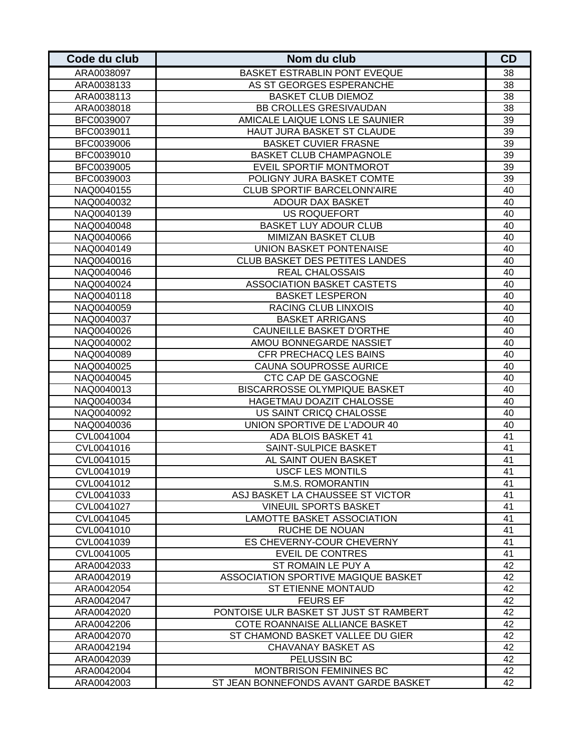| Code du club             | Nom du club                                         | <b>CD</b> |
|--------------------------|-----------------------------------------------------|-----------|
| ARA0038097               | BASKET ESTRABLIN PONT EVEQUE                        | 38        |
| ARA0038133               | AS ST GEORGES ESPERANCHE                            | 38        |
| ARA0038113               | <b>BASKET CLUB DIEMOZ</b>                           | 38        |
| ARA0038018               | <b>BB CROLLES GRESIVAUDAN</b>                       | 38        |
| BFC0039007               | AMICALE LAIQUE LONS LE SAUNIER                      | 39        |
| BFC0039011               | HAUT JURA BASKET ST CLAUDE                          | 39        |
| BFC0039006               | <b>BASKET CUVIER FRASNE</b>                         | 39        |
| BFC0039010               | <b>BASKET CLUB CHAMPAGNOLE</b>                      | 39        |
| BFC0039005               | EVEIL SPORTIF MONTMOROT                             | 39        |
| BFC0039003               | POLIGNY JURA BASKET COMTE                           | 39        |
| NAQ0040155               | <b>CLUB SPORTIF BARCELONN'AIRE</b>                  | 40        |
| NAQ0040032               | ADOUR DAX BASKET                                    | 40        |
| NAQ0040139               | <b>US ROQUEFORT</b>                                 | 40        |
| NAQ0040048               | <b>BASKET LUY ADOUR CLUB</b>                        | 40        |
| NAQ0040066               | MIMIZAN BASKET CLUB                                 | 40        |
| NAQ0040149               | <b>UNION BASKET PONTENAISE</b>                      | 40        |
| NAQ0040016               | <b>CLUB BASKET DES PETITES LANDES</b>               | 40        |
| NAQ0040046               | <b>REAL CHALOSSAIS</b>                              | 40        |
| NAQ0040024               | <b>ASSOCIATION BASKET CASTETS</b>                   | 40        |
| NAQ0040118               | <b>BASKET LESPERON</b>                              | 40        |
| NAQ0040059               | RACING CLUB LINXOIS                                 | 40        |
| NAQ0040037               | <b>BASKET ARRIGANS</b>                              | 40        |
| NAQ0040026               | <b>CAUNEILLE BASKET D'ORTHE</b>                     | 40        |
| NAQ0040002               | AMOU BONNEGARDE NASSIET                             | 40        |
| NAQ0040089               | CFR PRECHACQ LES BAINS                              | 40        |
| NAQ0040025               | <b>CAUNA SOUPROSSE AURICE</b>                       | 40        |
| NAQ0040045               | CTC CAP DE GASCOGNE                                 | 40        |
| NAQ0040013               | <b>BISCARROSSE OLYMPIQUE BASKET</b>                 | 40<br>40  |
| NAQ0040034<br>NAQ0040092 | HAGETMAU DOAZIT CHALOSSE<br>US SAINT CRICQ CHALOSSE | 40        |
| NAQ0040036               | UNION SPORTIVE DE L'ADOUR 40                        | 40        |
| CVL0041004               | ADA BLOIS BASKET 41                                 | 41        |
| CVL0041016               | SAINT-SULPICE BASKET                                | 41        |
| CVL0041015               | AL SAINT OUEN BASKET                                | 41        |
| CVL0041019               | <b>USCF LES MONTILS</b>                             | 41        |
| CVL0041012               | S.M.S. ROMORANTIN                                   | 41        |
| CVL0041033               | ASJ BASKET LA CHAUSSEE ST VICTOR                    | 41        |
| CVL0041027               | <b>VINEUIL SPORTS BASKET</b>                        | 41        |
| CVL0041045               | LAMOTTE BASKET ASSOCIATION                          | 41        |
| CVL0041010               | RUCHE DE NOUAN                                      | 41        |
| CVL0041039               | ES CHEVERNY-COUR CHEVERNY                           | 41        |
| CVL0041005               | EVEIL DE CONTRES                                    | 41        |
| ARA0042033               | ST ROMAIN LE PUY A                                  | 42        |
| ARA0042019               | ASSOCIATION SPORTIVE MAGIQUE BASKET                 | 42        |
| ARA0042054               | ST ETIENNE MONTAUD                                  | 42        |
| ARA0042047               | <b>FEURS EF</b>                                     | 42        |
| ARA0042020               | PONTOISE ULR BASKET ST JUST ST RAMBERT              | 42        |
| ARA0042206               | COTE ROANNAISE ALLIANCE BASKET                      | 42        |
| ARA0042070               | ST CHAMOND BASKET VALLEE DU GIER                    | 42        |
| ARA0042194               | CHAVANAY BASKET AS                                  | 42        |
| ARA0042039               | PELUSSIN BC                                         | 42        |
| ARA0042004               | MONTBRISON FEMININES BC                             | 42        |
| ARA0042003               | ST JEAN BONNEFONDS AVANT GARDE BASKET               | 42        |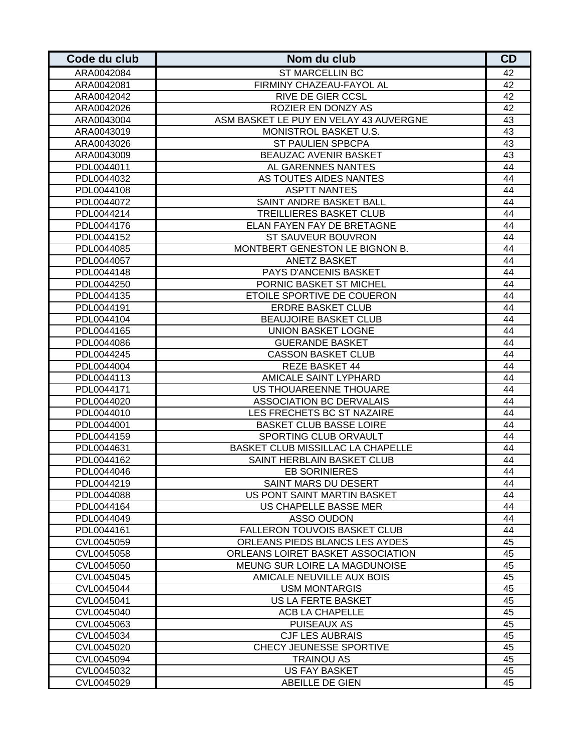| Code du club | Nom du club                            | <b>CD</b> |
|--------------|----------------------------------------|-----------|
| ARA0042084   | <b>ST MARCELLIN BC</b>                 | 42        |
| ARA0042081   | FIRMINY CHAZEAU-FAYOL AL               | 42        |
| ARA0042042   | RIVE DE GIER CCSL                      | 42        |
| ARA0042026   | ROZIER EN DONZY AS                     | 42        |
| ARA0043004   | ASM BASKET LE PUY EN VELAY 43 AUVERGNE | 43        |
| ARA0043019   | MONISTROL BASKET U.S.                  | 43        |
| ARA0043026   | ST PAULIEN SPBCPA                      | 43        |
| ARA0043009   | <b>BEAUZAC AVENIR BASKET</b>           | 43        |
| PDL0044011   | AL GARENNES NANTES                     | 44        |
| PDL0044032   | AS TOUTES AIDES NANTES                 | 44        |
| PDL0044108   | <b>ASPTT NANTES</b>                    | 44        |
| PDL0044072   | SAINT ANDRE BASKET BALL                | 44        |
| PDL0044214   | TREILLIERES BASKET CLUB                | 44        |
| PDL0044176   | ELAN FAYEN FAY DE BRETAGNE             | 44        |
| PDL0044152   | ST SAUVEUR BOUVRON                     | 44        |
| PDL0044085   | MONTBERT GENESTON LE BIGNON B.         | 44        |
| PDL0044057   | <b>ANETZ BASKET</b>                    | 44        |
| PDL0044148   | PAYS D'ANCENIS BASKET                  | 44        |
| PDL0044250   | PORNIC BASKET ST MICHEL                | 44        |
| PDL0044135   | ETOILE SPORTIVE DE COUERON             | 44        |
| PDL0044191   | <b>ERDRE BASKET CLUB</b>               | 44        |
| PDL0044104   | <b>BEAUJOIRE BASKET CLUB</b>           | 44        |
| PDL0044165   | <b>UNION BASKET LOGNE</b>              | 44        |
| PDL0044086   | <b>GUERANDE BASKET</b>                 | 44        |
| PDL0044245   | <b>CASSON BASKET CLUB</b>              | 44        |
| PDL0044004   | <b>REZE BASKET 44</b>                  | 44        |
| PDL0044113   | AMICALE SAINT LYPHARD                  | 44        |
| PDL0044171   | US THOUAREENNE THOUARE                 | 44        |
| PDL0044020   | <b>ASSOCIATION BC DERVALAIS</b>        | 44        |
| PDL0044010   | LES FRECHETS BC ST NAZAIRE             | 44        |
| PDL0044001   | <b>BASKET CLUB BASSE LOIRE</b>         | 44        |
| PDL0044159   | SPORTING CLUB ORVAULT                  | 44        |
| PDL0044631   | BASKET CLUB MISSILLAC LA CHAPELLE      | 44        |
| PDL0044162   | SAINT HERBLAIN BASKET CLUB             | 44        |
| PDL0044046   | <b>EB SORINIERES</b>                   | 44        |
| PDL0044219   | SAINT MARS DU DESERT                   | 44        |
| PDL0044088   | US PONT SAINT MARTIN BASKET            | 44        |
| PDL0044164   | US CHAPELLE BASSE MER                  | 44        |
| PDL0044049   | ASSO OUDON                             | 44        |
| PDL0044161   | FALLERON TOUVOIS BASKET CLUB           | 44        |
| CVL0045059   | ORLEANS PIEDS BLANCS LES AYDES         | 45        |
| CVL0045058   | ORLEANS LOIRET BASKET ASSOCIATION      | 45        |
| CVL0045050   | MEUNG SUR LOIRE LA MAGDUNOISE          | 45        |
| CVL0045045   | AMICALE NEUVILLE AUX BOIS              | 45        |
| CVL0045044   | <b>USM MONTARGIS</b>                   | 45        |
| CVL0045041   | US LA FERTE BASKET                     | 45        |
| CVL0045040   | ACB LA CHAPELLE                        | 45        |
| CVL0045063   | PUISEAUX AS                            | 45        |
| CVL0045034   | <b>CJF LES AUBRAIS</b>                 | 45        |
| CVL0045020   | CHECY JEUNESSE SPORTIVE                | 45        |
| CVL0045094   | <b>TRAINOU AS</b>                      | 45        |
| CVL0045032   | <b>US FAY BASKET</b>                   | 45        |
| CVL0045029   | ABEILLE DE GIEN                        | 45        |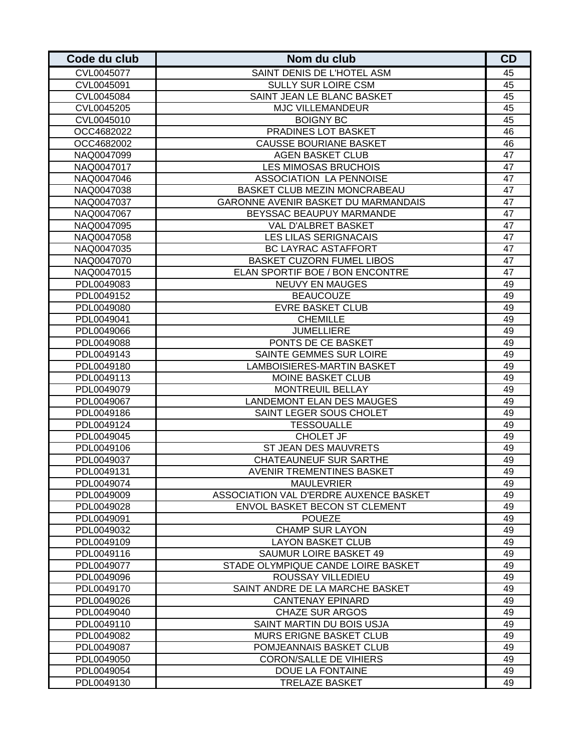| Code du club | Nom du club                            | <b>CD</b> |
|--------------|----------------------------------------|-----------|
| CVL0045077   | SAINT DENIS DE L'HOTEL ASM             | 45        |
| CVL0045091   | <b>SULLY SUR LOIRE CSM</b>             | 45        |
| CVL0045084   | SAINT JEAN LE BLANC BASKET             | 45        |
| CVL0045205   | <b>MJC VILLEMANDEUR</b>                | 45        |
| CVL0045010   | <b>BOIGNY BC</b>                       | 45        |
| OCC4682022   | PRADINES LOT BASKET                    | 46        |
| OCC4682002   | <b>CAUSSE BOURIANE BASKET</b>          | 46        |
| NAQ0047099   | <b>AGEN BASKET CLUB</b>                | 47        |
| NAQ0047017   | LES MIMOSAS BRUCHOIS                   | 47        |
| NAQ0047046   | ASSOCIATION LA PENNOISE                | 47        |
| NAQ0047038   | BASKET CLUB MEZIN MONCRABEAU           | 47        |
| NAQ0047037   | GARONNE AVENIR BASKET DU MARMANDAIS    | 47        |
| NAQ0047067   | BEYSSAC BEAUPUY MARMANDE               | 47        |
| NAQ0047095   | VAL D'ALBRET BASKET                    | 47        |
| NAQ0047058   | <b>LES LILAS SERIGNACAIS</b>           | 47        |
| NAQ0047035   | <b>BC LAYRAC ASTAFFORT</b>             | 47        |
| NAQ0047070   | <b>BASKET CUZORN FUMEL LIBOS</b>       | 47        |
| NAQ0047015   | ELAN SPORTIF BOE / BON ENCONTRE        | 47        |
| PDL0049083   | <b>NEUVY EN MAUGES</b>                 | 49        |
| PDL0049152   | <b>BEAUCOUZE</b>                       | 49        |
| PDL0049080   | <b>EVRE BASKET CLUB</b>                | 49        |
| PDL0049041   | <b>CHEMILLE</b>                        | 49        |
| PDL0049066   | <b>JUMELLIERE</b>                      | 49        |
| PDL0049088   | PONTS DE CE BASKET                     | 49        |
| PDL0049143   | SAINTE GEMMES SUR LOIRE                | 49        |
| PDL0049180   | LAMBOISIERES-MARTIN BASKET             | 49        |
| PDL0049113   | <b>MOINE BASKET CLUB</b>               | 49        |
| PDL0049079   | MONTREUIL BELLAY                       | 49        |
| PDL0049067   | <b>LANDEMONT ELAN DES MAUGES</b>       | 49        |
| PDL0049186   | SAINT LEGER SOUS CHOLET                | 49        |
| PDL0049124   | <b>TESSOUALLE</b>                      | 49        |
| PDL0049045   | CHOLET JF                              | 49        |
| PDL0049106   | ST JEAN DES MAUVRETS                   | 49        |
| PDL0049037   | <b>CHATEAUNEUF SUR SARTHE</b>          | 49        |
| PDL0049131   | <b>AVENIR TREMENTINES BASKET</b>       | 49        |
| PDL0049074   | <b>MAULEVRIER</b>                      | 49        |
| PDL0049009   | ASSOCIATION VAL D'ERDRE AUXENCE BASKET | 49        |
| PDL0049028   | ENVOL BASKET BECON ST CLEMENT          | 49        |
| PDL0049091   | <b>POUEZE</b>                          | 49        |
| PDL0049032   | <b>CHAMP SUR LAYON</b>                 | 49        |
| PDL0049109   | <b>LAYON BASKET CLUB</b>               | 49        |
| PDL0049116   | SAUMUR LOIRE BASKET 49                 | 49        |
| PDL0049077   | STADE OLYMPIQUE CANDE LOIRE BASKET     | 49        |
| PDL0049096   | ROUSSAY VILLEDIEU                      | 49        |
| PDL0049170   | SAINT ANDRE DE LA MARCHE BASKET        | 49        |
| PDL0049026   | <b>CANTENAY EPINARD</b>                | 49        |
| PDL0049040   | <b>CHAZE SUR ARGOS</b>                 | 49        |
| PDL0049110   | SAINT MARTIN DU BOIS USJA              | 49        |
| PDL0049082   | <b>MURS ERIGNE BASKET CLUB</b>         | 49        |
| PDL0049087   | POMJEANNAIS BASKET CLUB                | 49        |
| PDL0049050   | <b>CORON/SALLE DE VIHIERS</b>          | 49        |
| PDL0049054   | DOUE LA FONTAINE                       | 49        |
| PDL0049130   | <b>TRELAZE BASKET</b>                  | 49        |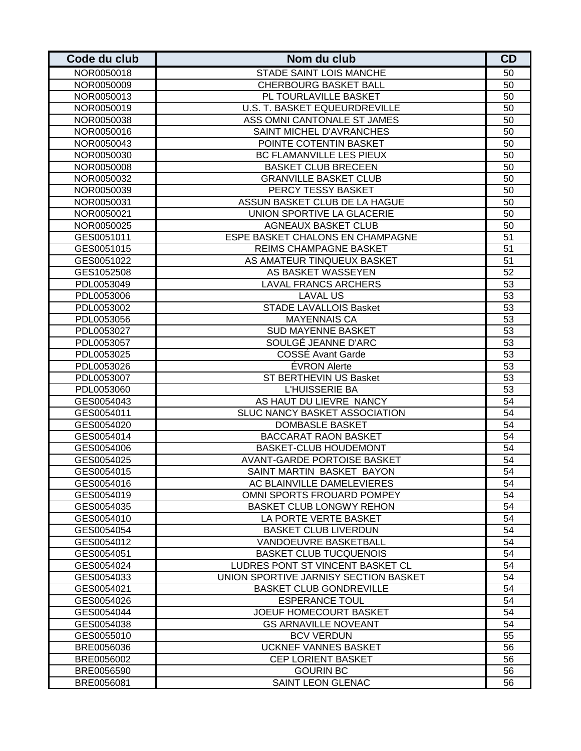| Code du club | Nom du club                           | CD |
|--------------|---------------------------------------|----|
| NOR0050018   | STADE SAINT LOIS MANCHE               | 50 |
| NOR0050009   | <b>CHERBOURG BASKET BALL</b>          | 50 |
| NOR0050013   | PL TOURLAVILLE BASKET                 | 50 |
| NOR0050019   | U.S. T. BASKET EQUEURDREVILLE         | 50 |
| NOR0050038   | ASS OMNI CANTONALE ST JAMES           | 50 |
| NOR0050016   | SAINT MICHEL D'AVRANCHES              | 50 |
| NOR0050043   | POINTE COTENTIN BASKET                | 50 |
| NOR0050030   | BC FLAMANVILLE LES PIEUX              | 50 |
| NOR0050008   | <b>BASKET CLUB BRECEEN</b>            | 50 |
| NOR0050032   | <b>GRANVILLE BASKET CLUB</b>          | 50 |
| NOR0050039   | PERCY TESSY BASKET                    | 50 |
| NOR0050031   | ASSUN BASKET CLUB DE LA HAGUE         | 50 |
| NOR0050021   | UNION SPORTIVE LA GLACERIE            | 50 |
| NOR0050025   | <b>AGNEAUX BASKET CLUB</b>            | 50 |
| GES0051011   | ESPE BASKET CHALONS EN CHAMPAGNE      | 51 |
| GES0051015   | REIMS CHAMPAGNE BASKET                | 51 |
| GES0051022   | AS AMATEUR TINQUEUX BASKET            | 51 |
| GES1052508   | AS BASKET WASSEYEN                    | 52 |
| PDL0053049   | <b>LAVAL FRANCS ARCHERS</b>           | 53 |
| PDL0053006   | <b>LAVAL US</b>                       | 53 |
| PDL0053002   | <b>STADE LAVALLOIS Basket</b>         | 53 |
| PDL0053056   | <b>MAYENNAIS CA</b>                   | 53 |
| PDL0053027   | <b>SUD MAYENNE BASKET</b>             | 53 |
| PDL0053057   | SOULGÉ JEANNE D'ARC                   | 53 |
| PDL0053025   | COSSE Avant Garde                     | 53 |
| PDL0053026   | ÉVRON Alerte                          | 53 |
| PDL0053007   | ST BERTHEVIN US Basket                | 53 |
| PDL0053060   | L'HUISSERIE BA                        | 53 |
| GES0054043   | AS HAUT DU LIEVRE NANCY               | 54 |
| GES0054011   | SLUC NANCY BASKET ASSOCIATION         | 54 |
| GES0054020   | <b>DOMBASLE BASKET</b>                | 54 |
| GES0054014   | <b>BACCARAT RAON BASKET</b>           | 54 |
| GES0054006   | <b>BASKET-CLUB HOUDEMONT</b>          | 54 |
| GES0054025   | AVANT-GARDE PORTOISE BASKET           | 54 |
| GES0054015   | SAINT MARTIN BASKET BAYON             | 54 |
| GES0054016   | AC BLAINVILLE DAMELEVIERES            | 54 |
| GES0054019   | OMNI SPORTS FROUARD POMPEY            | 54 |
| GES0054035   | <b>BASKET CLUB LONGWY REHON</b>       | 54 |
| GES0054010   | LA PORTE VERTE BASKET                 | 54 |
| GES0054054   | <b>BASKET CLUB LIVERDUN</b>           | 54 |
| GES0054012   | VANDOEUVRE BASKETBALL                 | 54 |
| GES0054051   | <b>BASKET CLUB TUCQUENOIS</b>         | 54 |
| GES0054024   | LUDRES PONT ST VINCENT BASKET CL      | 54 |
| GES0054033   | UNION SPORTIVE JARNISY SECTION BASKET | 54 |
| GES0054021   | <b>BASKET CLUB GONDREVILLE</b>        | 54 |
| GES0054026   | <b>ESPERANCE TOUL</b>                 | 54 |
| GES0054044   | JOEUF HOMECOURT BASKET                | 54 |
| GES0054038   | <b>GS ARNAVILLE NOVEANT</b>           | 54 |
| GES0055010   | <b>BCV VERDUN</b>                     | 55 |
| BRE0056036   | <b>UCKNEF VANNES BASKET</b>           | 56 |
| BRE0056002   | <b>CEP LORIENT BASKET</b>             | 56 |
| BRE0056590   | <b>GOURIN BC</b>                      | 56 |
| BRE0056081   | SAINT LEON GLENAC                     | 56 |
|              |                                       |    |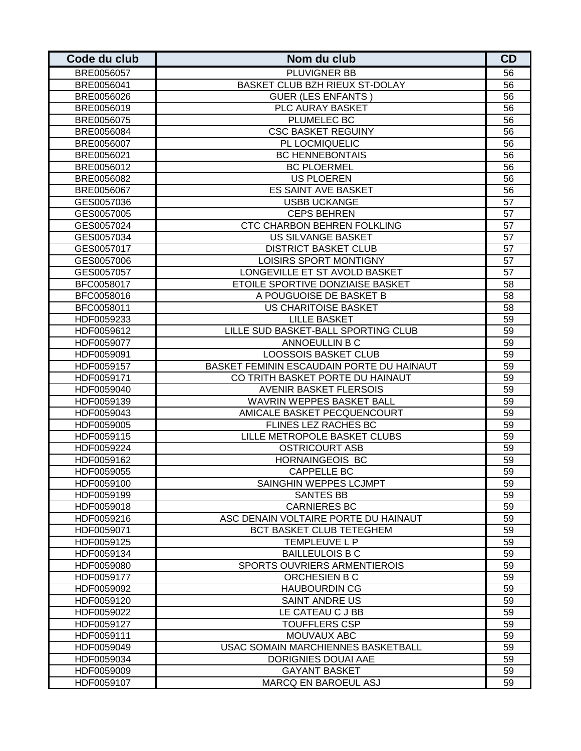| Code du club | Nom du club                               | <b>CD</b> |
|--------------|-------------------------------------------|-----------|
| BRE0056057   | PLUVIGNER BB                              | 56        |
| BRE0056041   | BASKET CLUB BZH RIEUX ST-DOLAY            | 56        |
| BRE0056026   | <b>GUER (LES ENFANTS)</b>                 | 56        |
| BRE0056019   | PLC AURAY BASKET                          | 56        |
| BRE0056075   | PLUMELEC BC                               | 56        |
| BRE0056084   | <b>CSC BASKET REGUINY</b>                 | 56        |
| BRE0056007   | PL LOCMIQUELIC                            | 56        |
| BRE0056021   | <b>BC HENNEBONTAIS</b>                    | 56        |
| BRE0056012   | <b>BC PLOERMEL</b>                        | 56        |
| BRE0056082   | <b>US PLOEREN</b>                         | 56        |
| BRE0056067   | ES SAINT AVE BASKET                       | 56        |
| GES0057036   | <b>USBB UCKANGE</b>                       | 57        |
| GES0057005   | <b>CEPS BEHREN</b>                        | 57        |
| GES0057024   | CTC CHARBON BEHREN FOLKLING               | 57        |
| GES0057034   | <b>US SILVANGE BASKET</b>                 | 57        |
| GES0057017   | <b>DISTRICT BASKET CLUB</b>               | 57        |
| GES0057006   | LOISIRS SPORT MONTIGNY                    | 57        |
| GES0057057   | LONGEVILLE ET ST AVOLD BASKET             | 57        |
| BFC0058017   | ETOILE SPORTIVE DONZIAISE BASKET          | 58        |
| BFC0058016   | A POUGUOISE DE BASKET B                   | 58        |
| BFC0058011   | US CHARITOISE BASKET                      | 58        |
| HDF0059233   | <b>LILLE BASKET</b>                       | 59        |
| HDF0059612   | LILLE SUD BASKET-BALL SPORTING CLUB       | 59        |
| HDF0059077   | ANNOEULLIN B C                            | 59        |
| HDF0059091   | <b>LOOSSOIS BASKET CLUB</b>               | 59        |
| HDF0059157   | BASKET FEMININ ESCAUDAIN PORTE DU HAINAUT | 59        |
| HDF0059171   | CO TRITH BASKET PORTE DU HAINAUT          | 59        |
| HDF0059040   | <b>AVENIR BASKET FLERSOIS</b>             | 59        |
| HDF0059139   | WAVRIN WEPPES BASKET BALL                 | 59        |
| HDF0059043   | AMICALE BASKET PECQUENCOURT               | 59        |
| HDF0059005   | FLINES LEZ RACHES BC                      | 59        |
| HDF0059115   | LILLE METROPOLE BASKET CLUBS              | 59        |
| HDF0059224   | <b>OSTRICOURT ASB</b>                     | 59        |
| HDF0059162   | <b>HORNAINGEOIS BC</b>                    | 59        |
| HDF0059055   | <b>CAPPELLE BC</b>                        | 59        |
| HDF0059100   | SAINGHIN WEPPES LCJMPT                    | 59        |
| HDF0059199   | <b>SANTES BB</b>                          | 59        |
| HDF0059018   | <b>CARNIERES BC</b>                       | 59        |
| HDF0059216   | ASC DENAIN VOLTAIRE PORTE DU HAINAUT      | 59        |
| HDF0059071   | BCT BASKET CLUB TETEGHEM                  | 59        |
| HDF0059125   | TEMPLEUVE L P                             | 59        |
| HDF0059134   | <b>BAILLEULOIS B C</b>                    | 59        |
| HDF0059080   | SPORTS OUVRIERS ARMENTIEROIS              | 59        |
| HDF0059177   | ORCHESIEN B C                             | 59        |
| HDF0059092   | <b>HAUBOURDIN CG</b>                      | 59        |
| HDF0059120   | SAINT ANDRE US                            | 59        |
| HDF0059022   | LE CATEAU C J BB                          | 59        |
| HDF0059127   | <b>TOUFFLERS CSP</b>                      | 59        |
| HDF0059111   | MOUVAUX ABC                               | 59        |
| HDF0059049   | USAC SOMAIN MARCHIENNES BASKETBALL        | 59        |
| HDF0059034   | DORIGNIES DOUAI AAE                       | 59        |
| HDF0059009   | <b>GAYANT BASKET</b>                      | 59        |
| HDF0059107   | MARCQ EN BAROEUL ASJ                      | 59        |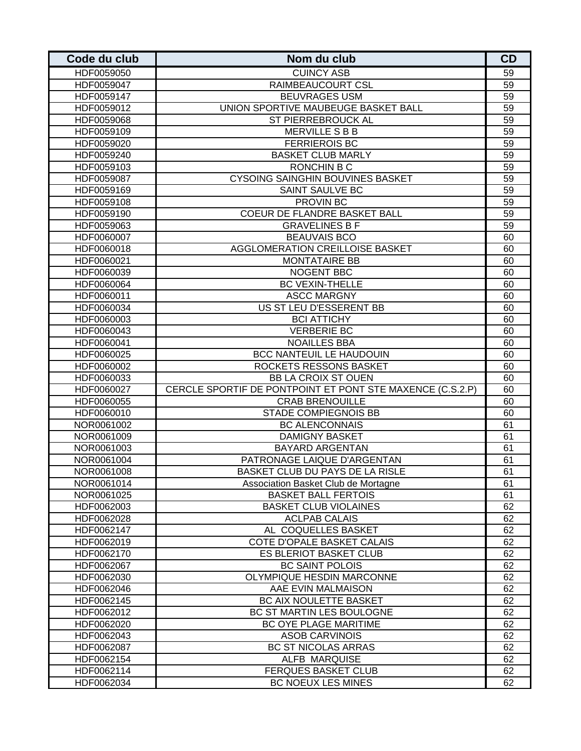| Code du club | Nom du club                                               | <b>CD</b> |
|--------------|-----------------------------------------------------------|-----------|
| HDF0059050   | <b>CUINCY ASB</b>                                         | 59        |
| HDF0059047   | RAIMBEAUCOURT CSL                                         | 59        |
| HDF0059147   | <b>BEUVRAGES USM</b>                                      | 59        |
| HDF0059012   | UNION SPORTIVE MAUBEUGE BASKET BALL                       | 59        |
| HDF0059068   | ST PIERREBROUCK AL                                        | 59        |
| HDF0059109   | <b>MERVILLE S B B</b>                                     | 59        |
| HDF0059020   | <b>FERRIEROIS BC</b>                                      | 59        |
| HDF0059240   | <b>BASKET CLUB MARLY</b>                                  | 59        |
| HDF0059103   | <b>RONCHIN B C</b>                                        | 59        |
| HDF0059087   | <b>CYSOING SAINGHIN BOUVINES BASKET</b>                   | 59        |
| HDF0059169   | SAINT SAULVE BC                                           | 59        |
| HDF0059108   | PROVIN BC                                                 | 59        |
| HDF0059190   | COEUR DE FLANDRE BASKET BALL                              | 59        |
| HDF0059063   | <b>GRAVELINES B F</b>                                     | 59        |
| HDF0060007   | <b>BEAUVAIS BCO</b>                                       | 60        |
| HDF0060018   | AGGLOMERATION CREILLOISE BASKET                           | 60        |
| HDF0060021   | <b>MONTATAIRE BB</b>                                      | 60        |
| HDF0060039   | NOGENT BBC                                                | 60        |
| HDF0060064   | <b>BC VEXIN-THELLE</b>                                    | 60        |
| HDF0060011   | <b>ASCC MARGNY</b>                                        | 60        |
| HDF0060034   | US ST LEU D'ESSERENT BB                                   | 60        |
| HDF0060003   | <b>BCI ATTICHY</b>                                        | 60        |
| HDF0060043   | <b>VERBERIE BC</b>                                        | 60        |
| HDF0060041   | <b>NOAILLES BBA</b>                                       | 60        |
| HDF0060025   | <b>BCC NANTEUIL LE HAUDOUIN</b>                           | 60        |
| HDF0060002   | ROCKETS RESSONS BASKET                                    | 60        |
| HDF0060033   | <b>BB LA CROIX ST OUEN</b>                                | 60        |
| HDF0060027   | CERCLE SPORTIF DE PONTPOINT ET PONT STE MAXENCE (C.S.2.P) | 60        |
| HDF0060055   | <b>CRAB BRENOUILLE</b>                                    | 60        |
| HDF0060010   | STADE COMPIEGNOIS BB                                      | 60        |
| NOR0061002   | <b>BC ALENCONNAIS</b>                                     | 61        |
| NOR0061009   | <b>DAMIGNY BASKET</b>                                     | 61        |
| NOR0061003   | <b>BAYARD ARGENTAN</b>                                    | 61        |
| NOR0061004   | PATRONAGE LAIQUE D'ARGENTAN                               | 61        |
| NOR0061008   | BASKET CLUB DU PAYS DE LA RISLE                           | 61        |
| NOR0061014   | Association Basket Club de Mortagne                       | 61        |
| NOR0061025   | <b>BASKET BALL FERTOIS</b>                                | 61        |
| HDF0062003   | <b>BASKET CLUB VIOLAINES</b>                              | 62        |
| HDF0062028   | <b>ACLPAB CALAIS</b>                                      | 62        |
| HDF0062147   | AL COQUELLES BASKET                                       | 62        |
| HDF0062019   | COTE D'OPALE BASKET CALAIS                                | 62        |
| HDF0062170   | <b>ES BLERIOT BASKET CLUB</b>                             | 62        |
| HDF0062067   | <b>BC SAINT POLOIS</b>                                    | 62        |
| HDF0062030   | OLYMPIQUE HESDIN MARCONNE                                 | 62        |
| HDF0062046   | AAE EVIN MALMAISON                                        | 62        |
| HDF0062145   | BC AIX NOULETTE BASKET                                    | 62        |
| HDF0062012   | BC ST MARTIN LES BOULOGNE                                 | 62        |
| HDF0062020   | BC OYE PLAGE MARITIME                                     | 62        |
| HDF0062043   | <b>ASOB CARVINOIS</b>                                     | 62        |
| HDF0062087   | <b>BC ST NICOLAS ARRAS</b>                                | 62        |
| HDF0062154   | ALFB MARQUISE                                             | 62        |
| HDF0062114   | <b>FERQUES BASKET CLUB</b>                                | 62        |
| HDF0062034   | BC NOEUX LES MINES                                        | 62        |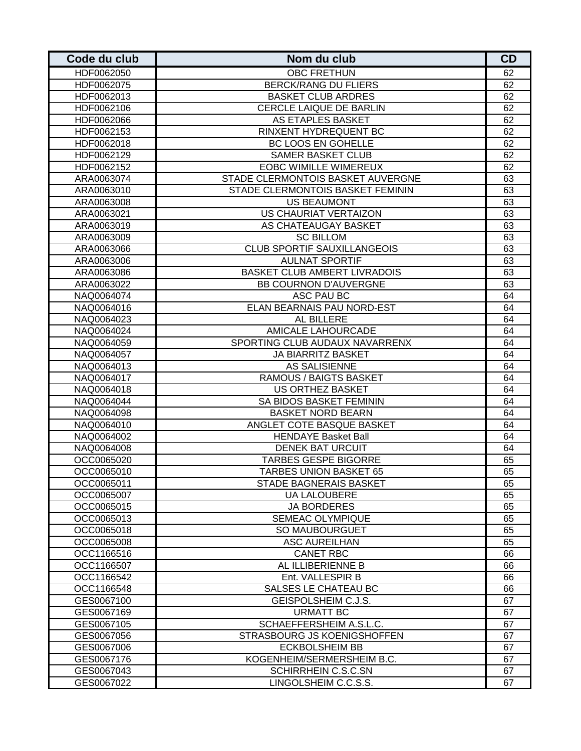| Code du club             | Nom du club                                           | <b>CD</b> |
|--------------------------|-------------------------------------------------------|-----------|
| HDF0062050               | <b>OBC FRETHUN</b>                                    | 62        |
| HDF0062075               | <b>BERCK/RANG DU FLIERS</b>                           | 62        |
| HDF0062013               | <b>BASKET CLUB ARDRES</b>                             | 62        |
| HDF0062106               | CERCLE LAIQUE DE BARLIN                               | 62        |
| HDF0062066               | AS ETAPLES BASKET                                     | 62        |
| HDF0062153               | RINXENT HYDREQUENT BC                                 | 62        |
| HDF0062018               | BC LOOS EN GOHELLE                                    | 62        |
| HDF0062129               | <b>SAMER BASKET CLUB</b>                              | 62        |
| HDF0062152               | <b>EOBC WIMILLE WIMEREUX</b>                          | 62        |
| ARA0063074               | STADE CLERMONTOIS BASKET AUVERGNE                     | 63        |
| ARA0063010               | STADE CLERMONTOIS BASKET FEMININ                      | 63        |
| ARA0063008               | <b>US BEAUMONT</b>                                    | 63        |
| ARA0063021               | US CHAURIAT VERTAIZON                                 | 63        |
| ARA0063019               | AS CHATEAUGAY BASKET                                  | 63        |
| ARA0063009               | <b>SC BILLOM</b>                                      | 63        |
| ARA0063066               | <b>CLUB SPORTIF SAUXILLANGEOIS</b>                    | 63        |
| ARA0063006               | <b>AULNAT SPORTIF</b>                                 | 63        |
| ARA0063086               | <b>BASKET CLUB AMBERT LIVRADOIS</b>                   | 63        |
| ARA0063022               | <b>BB COURNON D'AUVERGNE</b>                          | 63        |
| NAQ0064074               | <b>ASC PAU BC</b>                                     | 64        |
| NAQ0064016               | ELAN BEARNAIS PAU NORD-EST                            | 64        |
| NAQ0064023               | AL BILLERE                                            | 64        |
| NAQ0064024               | <b>AMICALE LAHOURCADE</b>                             | 64        |
| NAQ0064059               | SPORTING CLUB AUDAUX NAVARRENX                        | 64        |
| NAQ0064057               | <b>JA BIARRITZ BASKET</b>                             | 64        |
| NAQ0064013               | <b>AS SALISIENNE</b>                                  | 64        |
| NAQ0064017               | RAMOUS / BAIGTS BASKET                                | 64        |
| NAQ0064018               | <b>US ORTHEZ BASKET</b>                               | 64        |
| NAQ0064044               | SA BIDOS BASKET FEMININ                               | 64        |
| NAQ0064098               | <b>BASKET NORD BEARN</b><br>ANGLET COTE BASQUE BASKET | 64        |
| NAQ0064010               |                                                       | 64        |
| NAQ0064002<br>NAQ0064008 | <b>HENDAYE Basket Ball</b><br><b>DENEK BAT URCUIT</b> | 64<br>64  |
| OCC0065020               | <b>TARBES GESPE BIGORRE</b>                           | 65        |
| OCC0065010               | <b>TARBES UNION BASKET 65</b>                         | 65        |
| OCC0065011               | STADE BAGNERAIS BASKET                                | 65        |
| OCC0065007               | <b>UA LALOUBERE</b>                                   | 65        |
| OCC0065015               | <b>JA BORDERES</b>                                    | 65        |
| OCC0065013               | SEMEAC OLYMPIQUE                                      | 65        |
| OCC0065018               | SO MAUBOURGUET                                        | 65        |
| OCC0065008               | <b>ASC AUREILHAN</b>                                  | 65        |
| OCC1166516               | <b>CANET RBC</b>                                      | 66        |
| OCC1166507               | AL ILLIBERIENNE B                                     | 66        |
| OCC1166542               | Ent. VALLESPIR B                                      | 66        |
| OCC1166548               | SALSES LE CHATEAU BC                                  | 66        |
| GES0067100               | GEISPOLSHEIM C.J.S.                                   | 67        |
| GES0067169               | <b>URMATT BC</b>                                      | 67        |
| GES0067105               | SCHAEFFERSHEIM A.S.L.C.                               | 67        |
| GES0067056               | STRASBOURG JS KOENIGSHOFFEN                           | 67        |
| GES0067006               | <b>ECKBOLSHEIM BB</b>                                 | 67        |
| GES0067176               | KOGENHEIM/SERMERSHEIM B.C.                            | 67        |
| GES0067043               | SCHIRRHEIN C.S.C.SN                                   | 67        |
| GES0067022               | LINGOLSHEIM C.C.S.S.                                  | 67        |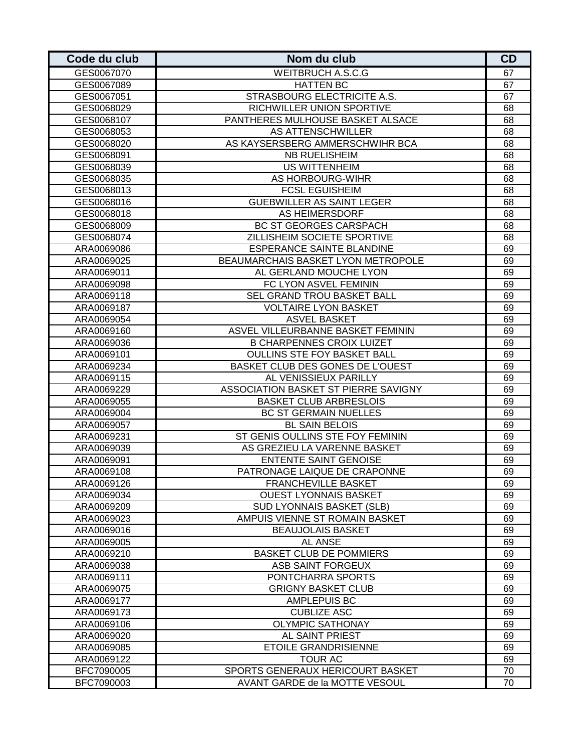| Code du club | Nom du club                          | CD |
|--------------|--------------------------------------|----|
| GES0067070   | <b>WEITBRUCH A.S.C.G</b>             | 67 |
| GES0067089   | <b>HATTEN BC</b>                     | 67 |
| GES0067051   | <b>STRASBOURG ELECTRICITE A.S.</b>   | 67 |
| GES0068029   | RICHWILLER UNION SPORTIVE            | 68 |
| GES0068107   | PANTHERES MULHOUSE BASKET ALSACE     | 68 |
| GES0068053   | AS ATTENSCHWILLER                    | 68 |
| GES0068020   | AS KAYSERSBERG AMMERSCHWIHR BCA      | 68 |
| GES0068091   | NB RUELISHEIM                        | 68 |
| GES0068039   | <b>US WITTENHEIM</b>                 | 68 |
| GES0068035   | AS HORBOURG-WIHR                     | 68 |
| GES0068013   | <b>FCSL EGUISHEIM</b>                | 68 |
| GES0068016   | <b>GUEBWILLER AS SAINT LEGER</b>     | 68 |
| GES0068018   | AS HEIMERSDORF                       | 68 |
| GES0068009   | <b>BC ST GEORGES CARSPACH</b>        | 68 |
| GES0068074   | ZILLISHEIM SOCIETE SPORTIVE          | 68 |
| ARA0069086   | <b>ESPERANCE SAINTE BLANDINE</b>     | 69 |
| ARA0069025   | BEAUMARCHAIS BASKET LYON METROPOLE   | 69 |
| ARA0069011   | AL GERLAND MOUCHE LYON               | 69 |
| ARA0069098   | FC LYON ASVEL FEMININ                | 69 |
| ARA0069118   | SEL GRAND TROU BASKET BALL           | 69 |
| ARA0069187   | <b>VOLTAIRE LYON BASKET</b>          | 69 |
| ARA0069054   | <b>ASVEL BASKET</b>                  | 69 |
| ARA0069160   | ASVEL VILLEURBANNE BASKET FEMININ    | 69 |
| ARA0069036   | <b>B CHARPENNES CROIX LUIZET</b>     | 69 |
| ARA0069101   | <b>OULLINS STE FOY BASKET BALL</b>   | 69 |
| ARA0069234   | BASKET CLUB DES GONES DE L'OUEST     | 69 |
| ARA0069115   | AL VENISSIEUX PARILLY                | 69 |
| ARA0069229   | ASSOCIATION BASKET ST PIERRE SAVIGNY | 69 |
| ARA0069055   | <b>BASKET CLUB ARBRESLOIS</b>        | 69 |
| ARA0069004   | <b>BC ST GERMAIN NUELLES</b>         | 69 |
| ARA0069057   | <b>BL SAIN BELOIS</b>                | 69 |
| ARA0069231   | ST GENIS OULLINS STE FOY FEMININ     | 69 |
| ARA0069039   | AS GREZIEU LA VARENNE BASKET         | 69 |
| ARA0069091   | <b>ENTENTE SAINT GENOISE</b>         | 69 |
| ARA0069108   | PATRONAGE LAIQUE DE CRAPONNE         | 69 |
| ARA0069126   | <b>FRANCHEVILLE BASKET</b>           | 69 |
| ARA0069034   | <b>OUEST LYONNAIS BASKET</b>         | 69 |
| ARA0069209   | <b>SUD LYONNAIS BASKET (SLB)</b>     | 69 |
| ARA0069023   | AMPUIS VIENNE ST ROMAIN BASKET       | 69 |
| ARA0069016   | <b>BEAUJOLAIS BASKET</b>             | 69 |
| ARA0069005   | AL ANSE                              | 69 |
| ARA0069210   | <b>BASKET CLUB DE POMMIERS</b>       | 69 |
| ARA0069038   | ASB SAINT FORGEUX                    | 69 |
| ARA0069111   | PONTCHARRA SPORTS                    | 69 |
| ARA0069075   | <b>GRIGNY BASKET CLUB</b>            | 69 |
| ARA0069177   | <b>AMPLEPUIS BC</b>                  | 69 |
| ARA0069173   | <b>CUBLIZE ASC</b>                   | 69 |
| ARA0069106   | <b>OLYMPIC SATHONAY</b>              | 69 |
| ARA0069020   | AL SAINT PRIEST                      | 69 |
| ARA0069085   | <b>ETOILE GRANDRISIENNE</b>          | 69 |
| ARA0069122   | <b>TOUR AC</b>                       | 69 |
| BFC7090005   | SPORTS GENERAUX HERICOURT BASKET     | 70 |
| BFC7090003   | AVANT GARDE de la MOTTE VESOUL       | 70 |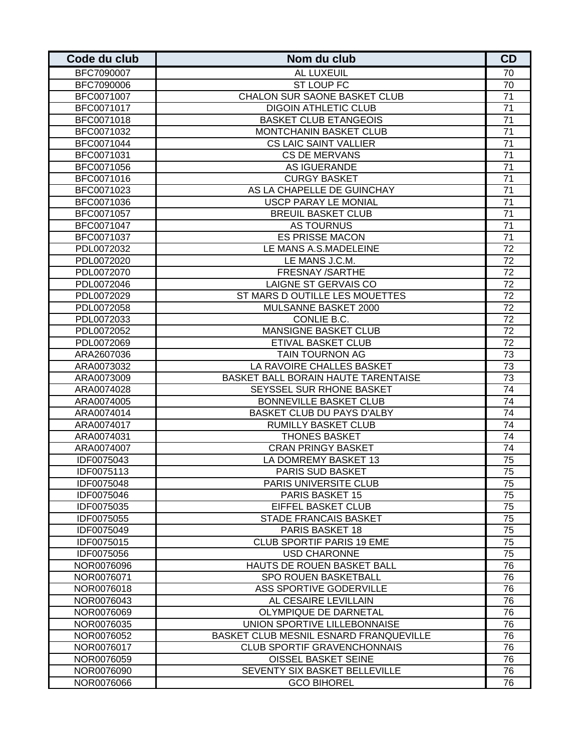| Code du club | Nom du club                                | CD              |
|--------------|--------------------------------------------|-----------------|
| BFC7090007   | AL LUXEUIL                                 | 70              |
| BFC7090006   | <b>ST LOUP FC</b>                          | 70              |
| BFC0071007   | CHALON SUR SAONE BASKET CLUB               | 71              |
| BFC0071017   | <b>DIGOIN ATHLETIC CLUB</b>                | 71              |
| BFC0071018   | <b>BASKET CLUB ETANGEOIS</b>               | 71              |
| BFC0071032   | <b>MONTCHANIN BASKET CLUB</b>              | 71              |
| BFC0071044   | <b>CS LAIC SAINT VALLIER</b>               | 71              |
| BFC0071031   | <b>CS DE MERVANS</b>                       | 71              |
| BFC0071056   | AS IGUERANDE                               | 71              |
| BFC0071016   | <b>CURGY BASKET</b>                        | 71              |
| BFC0071023   | AS LA CHAPELLE DE GUINCHAY                 | 71              |
| BFC0071036   | <b>USCP PARAY LE MONIAL</b>                | 71              |
| BFC0071057   | <b>BREUIL BASKET CLUB</b>                  | 71              |
| BFC0071047   | <b>AS TOURNUS</b>                          | 71              |
| BFC0071037   | <b>ES PRISSE MACON</b>                     | 71              |
| PDL0072032   | LE MANS A.S.MADELEINE                      | 72              |
| PDL0072020   | LE MANS J.C.M.                             | 72              |
| PDL0072070   | FRESNAY /SARTHE                            | $\overline{72}$ |
| PDL0072046   | <b>LAIGNE ST GERVAIS CO</b>                | 72              |
| PDL0072029   | ST MARS D OUTILLE LES MOUETTES             | 72              |
| PDL0072058   | MULSANNE BASKET 2000                       | 72              |
| PDL0072033   | CONLIE B.C.                                | $\overline{72}$ |
| PDL0072052   | <b>MANSIGNE BASKET CLUB</b>                | 72              |
| PDL0072069   | ETIVAL BASKET CLUB                         | 72              |
| ARA2607036   | TAIN TOURNON AG                            | 73              |
| ARA0073032   | LA RAVOIRE CHALLES BASKET                  | 73              |
| ARA0073009   | <b>BASKET BALL BORAIN HAUTE TARENTAISE</b> | 73              |
| ARA0074028   | SEYSSEL SUR RHONE BASKET                   | 74              |
| ARA0074005   | <b>BONNEVILLE BASKET CLUB</b>              | 74              |
| ARA0074014   | BASKET CLUB DU PAYS D'ALBY                 | 74              |
| ARA0074017   | <b>RUMILLY BASKET CLUB</b>                 | 74              |
| ARA0074031   | <b>THONES BASKET</b>                       | 74              |
| ARA0074007   | <b>CRAN PRINGY BASKET</b>                  | 74              |
| IDF0075043   | LA DOMREMY BASKET 13                       | 75              |
| IDF0075113   | <b>PARIS SUD BASKET</b>                    | 75              |
| IDF0075048   | PARIS UNIVERSITE CLUB                      | 75              |
| IDF0075046   | <b>PARIS BASKET 15</b>                     | 75              |
| IDF0075035   | EIFFEL BASKET CLUB                         | $\overline{75}$ |
| IDF0075055   | <b>STADE FRANCAIS BASKET</b>               | 75              |
| IDF0075049   | PARIS BASKET 18                            | 75              |
| IDF0075015   | <b>CLUB SPORTIF PARIS 19 EME</b>           | 75              |
| IDF0075056   | <b>USD CHARONNE</b>                        | 75              |
| NOR0076096   | HAUTS DE ROUEN BASKET BALL                 | 76              |
| NOR0076071   | SPO ROUEN BASKETBALL                       | 76              |
| NOR0076018   | ASS SPORTIVE GODERVILLE                    | 76              |
| NOR0076043   | AL CESAIRE LEVILLAIN                       | 76              |
| NOR0076069   | OLYMPIQUE DE DARNETAL                      | 76              |
| NOR0076035   | UNION SPORTIVE LILLEBONNAISE               | 76              |
| NOR0076052   | BASKET CLUB MESNIL ESNARD FRANQUEVILLE     | 76              |
| NOR0076017   | <b>CLUB SPORTIF GRAVENCHONNAIS</b>         | 76              |
| NOR0076059   | OISSEL BASKET SEINE                        | 76              |
| NOR0076090   | SEVENTY SIX BASKET BELLEVILLE              | 76              |
| NOR0076066   | <b>GCO BIHOREL</b>                         | 76              |
|              |                                            |                 |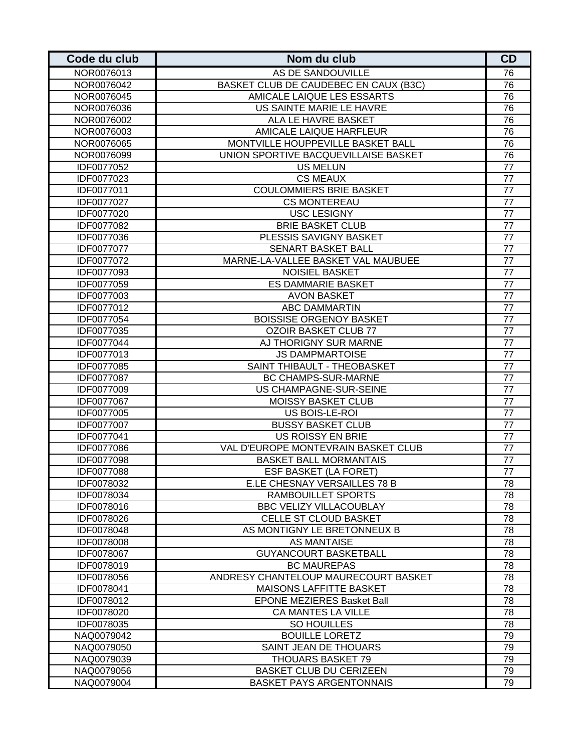| Code du club      | Nom du club                           | <b>CD</b>       |
|-------------------|---------------------------------------|-----------------|
| NOR0076013        | AS DE SANDOUVILLE                     | 76              |
| NOR0076042        | BASKET CLUB DE CAUDEBEC EN CAUX (B3C) | 76              |
| NOR0076045        | AMICALE LAIQUE LES ESSARTS            | 76              |
| NOR0076036        | US SAINTE MARIE LE HAVRE              | 76              |
| NOR0076002        | ALA LE HAVRE BASKET                   | 76              |
| NOR0076003        | AMICALE LAIQUE HARFLEUR               | 76              |
| NOR0076065        | MONTVILLE HOUPPEVILLE BASKET BALL     | 76              |
| NOR0076099        | UNION SPORTIVE BACQUEVILLAISE BASKET  | 76              |
| IDF0077052        | <b>US MELUN</b>                       | 77              |
| IDF0077023        | <b>CS MEAUX</b>                       | 77              |
| IDF0077011        | <b>COULOMMIERS BRIE BASKET</b>        | 77              |
| IDF0077027        | <b>CS MONTEREAU</b>                   | 77              |
| IDF0077020        | <b>USC LESIGNY</b>                    | 77              |
| IDF0077082        | <b>BRIE BASKET CLUB</b>               | 77              |
| IDF0077036        | PLESSIS SAVIGNY BASKET                | 77              |
| IDF0077077        | SENART BASKET BALL                    | 77              |
| IDF0077072        | MARNE-LA-VALLEE BASKET VAL MAUBUEE    | 77              |
| IDF0077093        | <b>NOISIEL BASKET</b>                 | $\overline{77}$ |
| IDF0077059        | <b>ES DAMMARIE BASKET</b>             | 77              |
| IDF0077003        | <b>AVON BASKET</b>                    | 77              |
| IDF0077012        | <b>ABC DAMMARTIN</b>                  | 77              |
| IDF0077054        | <b>BOISSISE ORGENOY BASKET</b>        | 77              |
| IDF0077035        | <b>OZOIR BASKET CLUB 77</b>           | 77              |
| IDF0077044        | AJ THORIGNY SUR MARNE                 | 77              |
| IDF0077013        | <b>JS DAMPMARTOISE</b>                | 77              |
| IDF0077085        | SAINT THIBAULT - THEOBASKET           | 77              |
| IDF0077087        | <b>BC CHAMPS-SUR-MARNE</b>            | 77              |
| IDF0077009        | US CHAMPAGNE-SUR-SEINE                | 77              |
| IDF0077067        | <b>MOISSY BASKET CLUB</b>             | 77              |
| IDF0077005        | US BOIS-LE-ROI                        | 77              |
| IDF0077007        | <b>BUSSY BASKET CLUB</b>              | 77              |
| IDF0077041        | <b>US ROISSY EN BRIE</b>              | 77              |
| <b>IDF0077086</b> | VAL D'EUROPE MONTEVRAIN BASKET CLUB   | 77              |
| IDF0077098        | <b>BASKET BALL MORMANTAIS</b>         | 77              |
| IDF0077088        | ESF BASKET (LA FORET)                 | 77              |
| IDF0078032        | E.LE CHESNAY VERSAILLES 78 B          | 78              |
| IDF0078034        | <b>RAMBOUILLET SPORTS</b>             | 78              |
| IDF0078016        | <b>BBC VELIZY VILLACOUBLAY</b>        | $\overline{78}$ |
| IDF0078026        | CELLE ST CLOUD BASKET                 | 78              |
| IDF0078048        | AS MONTIGNY LE BRETONNEUX B           | 78              |
| IDF0078008        | <b>AS MANTAISE</b>                    | 78              |
| IDF0078067        | <b>GUYANCOURT BASKETBALL</b>          | 78              |
| IDF0078019        | <b>BC MAUREPAS</b>                    | 78              |
| IDF0078056        | ANDRESY CHANTELOUP MAURECOURT BASKET  | 78              |
| IDF0078041        | MAISONS LAFFITTE BASKET               | 78              |
| IDF0078012        | <b>EPONE MEZIERES Basket Ball</b>     | 78              |
| IDF0078020        | CA MANTES LA VILLE                    | 78              |
| IDF0078035        | SO HOUILLES                           | 78              |
| NAQ0079042        | <b>BOUILLE LORETZ</b>                 | 79              |
| NAQ0079050        | SAINT JEAN DE THOUARS                 | 79              |
| NAQ0079039        | THOUARS BASKET 79                     | 79              |
| NAQ0079056        | <b>BASKET CLUB DU CERIZEEN</b>        | 79              |
| NAQ0079004        | <b>BASKET PAYS ARGENTONNAIS</b>       | 79              |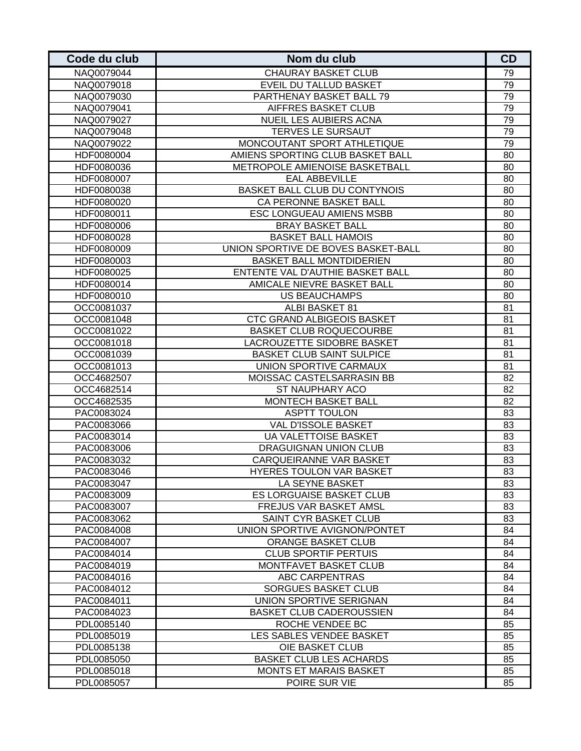| <b>CHAURAY BASKET CLUB</b><br>79<br>NAQ0079044<br><b>EVEIL DU TALLUD BASKET</b><br>79<br>NAQ0079018<br>PARTHENAY BASKET BALL 79<br>79<br>NAQ0079030<br>79<br><b>AIFFRES BASKET CLUB</b><br>NAQ0079041<br>79<br><b>NUEIL LES AUBIERS ACNA</b><br>NAQ0079027<br>79<br><b>TERVES LE SURSAUT</b><br>NAQ0079048<br>79<br>MONCOUTANT SPORT ATHLETIQUE<br>NAQ0079022<br>HDF0080004<br>AMIENS SPORTING CLUB BASKET BALL<br>80<br>80<br>HDF0080036<br>METROPOLE AMIENOISE BASKETBALL<br><b>EAL ABBEVILLE</b><br>HDF0080007<br>80<br>BASKET BALL CLUB DU CONTYNOIS<br>80<br>HDF0080038<br>CA PERONNE BASKET BALL<br>80<br>HDF0080020<br><b>ESC LONGUEAU AMIENS MSBB</b><br>80<br>HDF0080011<br><b>BRAY BASKET BALL</b><br>80<br>HDF0080006<br><b>BASKET BALL HAMOIS</b><br>80<br>HDF0080028<br>UNION SPORTIVE DE BOVES BASKET-BALL<br>80<br>HDF0080009<br><b>BASKET BALL MONTDIDERIEN</b><br>HDF0080003<br>80<br>ENTENTE VAL D'AUTHIE BASKET BALL<br>80<br>HDF0080025<br>AMICALE NIEVRE BASKET BALL<br>80<br>HDF0080014<br>US BEAUCHAMPS<br>80<br>HDF0080010<br><b>ALBI BASKET 81</b><br>81<br>OCC0081037<br>CTC GRAND ALBIGEOIS BASKET<br>81<br>OCC0081048<br>OCC0081022<br><b>BASKET CLUB ROQUECOURBE</b><br>81<br>LACROUZETTE SIDOBRE BASKET<br>81<br>OCC0081018<br><b>BASKET CLUB SAINT SULPICE</b><br>81<br>OCC0081039<br>UNION SPORTIVE CARMAUX<br>81<br>OCC0081013<br>MOISSAC CASTELSARRASIN BB<br>82<br>OCC4682507<br>ST NAUPHARY ACO<br>82<br>OCC4682514<br><b>MONTECH BASKET BALL</b><br>82<br>OCC4682535<br><b>ASPTT TOULON</b><br>83<br>PAC0083024<br>VAL D'ISSOLE BASKET<br>83<br>PAC0083066<br><b>UA VALETTOISE BASKET</b><br>83<br>PAC0083014<br>DRAGUIGNAN UNION CLUB<br>83<br>PAC0083006<br>CARQUEIRANNE VAR BASKET<br>PAC0083032<br>83<br>HYERES TOULON VAR BASKET<br>83<br>PAC0083046<br>LA SEYNE BASKET<br>PAC0083047<br>83<br><b>ES LORGUAISE BASKET CLUB</b><br>PAC0083009<br>83<br>83<br>FREJUS VAR BASKET AMSL<br>PAC0083007<br>83<br>PAC0083062<br>SAINT CYR BASKET CLUB<br>84<br>PAC0084008<br>UNION SPORTIVE AVIGNON/PONTET<br>PAC0084007<br><b>ORANGE BASKET CLUB</b><br>84<br>PAC0084014<br><b>CLUB SPORTIF PERTUIS</b><br>84<br>PAC0084019<br>MONTFAVET BASKET CLUB<br>84<br>ABC CARPENTRAS<br>84<br>PAC0084016<br><b>SORGUES BASKET CLUB</b><br>84<br>PAC0084012<br>UNION SPORTIVE SERIGNAN<br>84<br>PAC0084011<br>PAC0084023<br><b>BASKET CLUB CADEROUSSIEN</b><br>84<br>ROCHE VENDEE BC<br>85<br>PDL0085140<br>LES SABLES VENDEE BASKET<br>85<br>PDL0085019<br>OIE BASKET CLUB<br>85<br>PDL0085138<br><b>BASKET CLUB LES ACHARDS</b><br>85<br>PDL0085050<br>85<br>PDL0085018<br>MONTS ET MARAIS BASKET<br>POIRE SUR VIE<br>PDL0085057<br>85 | Code du club | Nom du club | CD |
|--------------------------------------------------------------------------------------------------------------------------------------------------------------------------------------------------------------------------------------------------------------------------------------------------------------------------------------------------------------------------------------------------------------------------------------------------------------------------------------------------------------------------------------------------------------------------------------------------------------------------------------------------------------------------------------------------------------------------------------------------------------------------------------------------------------------------------------------------------------------------------------------------------------------------------------------------------------------------------------------------------------------------------------------------------------------------------------------------------------------------------------------------------------------------------------------------------------------------------------------------------------------------------------------------------------------------------------------------------------------------------------------------------------------------------------------------------------------------------------------------------------------------------------------------------------------------------------------------------------------------------------------------------------------------------------------------------------------------------------------------------------------------------------------------------------------------------------------------------------------------------------------------------------------------------------------------------------------------------------------------------------------------------------------------------------------------------------------------------------------------------------------------------------------------------------------------------------------------------------------------------------------------------------------------------------------------------------------------------------------------------------------------------------------------------------------------------------------------------------------------------------------------------------------------------------------------------------------------------------------------------------------------------------------|--------------|-------------|----|
|                                                                                                                                                                                                                                                                                                                                                                                                                                                                                                                                                                                                                                                                                                                                                                                                                                                                                                                                                                                                                                                                                                                                                                                                                                                                                                                                                                                                                                                                                                                                                                                                                                                                                                                                                                                                                                                                                                                                                                                                                                                                                                                                                                                                                                                                                                                                                                                                                                                                                                                                                                                                                                                                    |              |             |    |
|                                                                                                                                                                                                                                                                                                                                                                                                                                                                                                                                                                                                                                                                                                                                                                                                                                                                                                                                                                                                                                                                                                                                                                                                                                                                                                                                                                                                                                                                                                                                                                                                                                                                                                                                                                                                                                                                                                                                                                                                                                                                                                                                                                                                                                                                                                                                                                                                                                                                                                                                                                                                                                                                    |              |             |    |
|                                                                                                                                                                                                                                                                                                                                                                                                                                                                                                                                                                                                                                                                                                                                                                                                                                                                                                                                                                                                                                                                                                                                                                                                                                                                                                                                                                                                                                                                                                                                                                                                                                                                                                                                                                                                                                                                                                                                                                                                                                                                                                                                                                                                                                                                                                                                                                                                                                                                                                                                                                                                                                                                    |              |             |    |
|                                                                                                                                                                                                                                                                                                                                                                                                                                                                                                                                                                                                                                                                                                                                                                                                                                                                                                                                                                                                                                                                                                                                                                                                                                                                                                                                                                                                                                                                                                                                                                                                                                                                                                                                                                                                                                                                                                                                                                                                                                                                                                                                                                                                                                                                                                                                                                                                                                                                                                                                                                                                                                                                    |              |             |    |
|                                                                                                                                                                                                                                                                                                                                                                                                                                                                                                                                                                                                                                                                                                                                                                                                                                                                                                                                                                                                                                                                                                                                                                                                                                                                                                                                                                                                                                                                                                                                                                                                                                                                                                                                                                                                                                                                                                                                                                                                                                                                                                                                                                                                                                                                                                                                                                                                                                                                                                                                                                                                                                                                    |              |             |    |
|                                                                                                                                                                                                                                                                                                                                                                                                                                                                                                                                                                                                                                                                                                                                                                                                                                                                                                                                                                                                                                                                                                                                                                                                                                                                                                                                                                                                                                                                                                                                                                                                                                                                                                                                                                                                                                                                                                                                                                                                                                                                                                                                                                                                                                                                                                                                                                                                                                                                                                                                                                                                                                                                    |              |             |    |
|                                                                                                                                                                                                                                                                                                                                                                                                                                                                                                                                                                                                                                                                                                                                                                                                                                                                                                                                                                                                                                                                                                                                                                                                                                                                                                                                                                                                                                                                                                                                                                                                                                                                                                                                                                                                                                                                                                                                                                                                                                                                                                                                                                                                                                                                                                                                                                                                                                                                                                                                                                                                                                                                    |              |             |    |
|                                                                                                                                                                                                                                                                                                                                                                                                                                                                                                                                                                                                                                                                                                                                                                                                                                                                                                                                                                                                                                                                                                                                                                                                                                                                                                                                                                                                                                                                                                                                                                                                                                                                                                                                                                                                                                                                                                                                                                                                                                                                                                                                                                                                                                                                                                                                                                                                                                                                                                                                                                                                                                                                    |              |             |    |
|                                                                                                                                                                                                                                                                                                                                                                                                                                                                                                                                                                                                                                                                                                                                                                                                                                                                                                                                                                                                                                                                                                                                                                                                                                                                                                                                                                                                                                                                                                                                                                                                                                                                                                                                                                                                                                                                                                                                                                                                                                                                                                                                                                                                                                                                                                                                                                                                                                                                                                                                                                                                                                                                    |              |             |    |
|                                                                                                                                                                                                                                                                                                                                                                                                                                                                                                                                                                                                                                                                                                                                                                                                                                                                                                                                                                                                                                                                                                                                                                                                                                                                                                                                                                                                                                                                                                                                                                                                                                                                                                                                                                                                                                                                                                                                                                                                                                                                                                                                                                                                                                                                                                                                                                                                                                                                                                                                                                                                                                                                    |              |             |    |
|                                                                                                                                                                                                                                                                                                                                                                                                                                                                                                                                                                                                                                                                                                                                                                                                                                                                                                                                                                                                                                                                                                                                                                                                                                                                                                                                                                                                                                                                                                                                                                                                                                                                                                                                                                                                                                                                                                                                                                                                                                                                                                                                                                                                                                                                                                                                                                                                                                                                                                                                                                                                                                                                    |              |             |    |
|                                                                                                                                                                                                                                                                                                                                                                                                                                                                                                                                                                                                                                                                                                                                                                                                                                                                                                                                                                                                                                                                                                                                                                                                                                                                                                                                                                                                                                                                                                                                                                                                                                                                                                                                                                                                                                                                                                                                                                                                                                                                                                                                                                                                                                                                                                                                                                                                                                                                                                                                                                                                                                                                    |              |             |    |
|                                                                                                                                                                                                                                                                                                                                                                                                                                                                                                                                                                                                                                                                                                                                                                                                                                                                                                                                                                                                                                                                                                                                                                                                                                                                                                                                                                                                                                                                                                                                                                                                                                                                                                                                                                                                                                                                                                                                                                                                                                                                                                                                                                                                                                                                                                                                                                                                                                                                                                                                                                                                                                                                    |              |             |    |
|                                                                                                                                                                                                                                                                                                                                                                                                                                                                                                                                                                                                                                                                                                                                                                                                                                                                                                                                                                                                                                                                                                                                                                                                                                                                                                                                                                                                                                                                                                                                                                                                                                                                                                                                                                                                                                                                                                                                                                                                                                                                                                                                                                                                                                                                                                                                                                                                                                                                                                                                                                                                                                                                    |              |             |    |
|                                                                                                                                                                                                                                                                                                                                                                                                                                                                                                                                                                                                                                                                                                                                                                                                                                                                                                                                                                                                                                                                                                                                                                                                                                                                                                                                                                                                                                                                                                                                                                                                                                                                                                                                                                                                                                                                                                                                                                                                                                                                                                                                                                                                                                                                                                                                                                                                                                                                                                                                                                                                                                                                    |              |             |    |
|                                                                                                                                                                                                                                                                                                                                                                                                                                                                                                                                                                                                                                                                                                                                                                                                                                                                                                                                                                                                                                                                                                                                                                                                                                                                                                                                                                                                                                                                                                                                                                                                                                                                                                                                                                                                                                                                                                                                                                                                                                                                                                                                                                                                                                                                                                                                                                                                                                                                                                                                                                                                                                                                    |              |             |    |
|                                                                                                                                                                                                                                                                                                                                                                                                                                                                                                                                                                                                                                                                                                                                                                                                                                                                                                                                                                                                                                                                                                                                                                                                                                                                                                                                                                                                                                                                                                                                                                                                                                                                                                                                                                                                                                                                                                                                                                                                                                                                                                                                                                                                                                                                                                                                                                                                                                                                                                                                                                                                                                                                    |              |             |    |
|                                                                                                                                                                                                                                                                                                                                                                                                                                                                                                                                                                                                                                                                                                                                                                                                                                                                                                                                                                                                                                                                                                                                                                                                                                                                                                                                                                                                                                                                                                                                                                                                                                                                                                                                                                                                                                                                                                                                                                                                                                                                                                                                                                                                                                                                                                                                                                                                                                                                                                                                                                                                                                                                    |              |             |    |
|                                                                                                                                                                                                                                                                                                                                                                                                                                                                                                                                                                                                                                                                                                                                                                                                                                                                                                                                                                                                                                                                                                                                                                                                                                                                                                                                                                                                                                                                                                                                                                                                                                                                                                                                                                                                                                                                                                                                                                                                                                                                                                                                                                                                                                                                                                                                                                                                                                                                                                                                                                                                                                                                    |              |             |    |
|                                                                                                                                                                                                                                                                                                                                                                                                                                                                                                                                                                                                                                                                                                                                                                                                                                                                                                                                                                                                                                                                                                                                                                                                                                                                                                                                                                                                                                                                                                                                                                                                                                                                                                                                                                                                                                                                                                                                                                                                                                                                                                                                                                                                                                                                                                                                                                                                                                                                                                                                                                                                                                                                    |              |             |    |
|                                                                                                                                                                                                                                                                                                                                                                                                                                                                                                                                                                                                                                                                                                                                                                                                                                                                                                                                                                                                                                                                                                                                                                                                                                                                                                                                                                                                                                                                                                                                                                                                                                                                                                                                                                                                                                                                                                                                                                                                                                                                                                                                                                                                                                                                                                                                                                                                                                                                                                                                                                                                                                                                    |              |             |    |
|                                                                                                                                                                                                                                                                                                                                                                                                                                                                                                                                                                                                                                                                                                                                                                                                                                                                                                                                                                                                                                                                                                                                                                                                                                                                                                                                                                                                                                                                                                                                                                                                                                                                                                                                                                                                                                                                                                                                                                                                                                                                                                                                                                                                                                                                                                                                                                                                                                                                                                                                                                                                                                                                    |              |             |    |
|                                                                                                                                                                                                                                                                                                                                                                                                                                                                                                                                                                                                                                                                                                                                                                                                                                                                                                                                                                                                                                                                                                                                                                                                                                                                                                                                                                                                                                                                                                                                                                                                                                                                                                                                                                                                                                                                                                                                                                                                                                                                                                                                                                                                                                                                                                                                                                                                                                                                                                                                                                                                                                                                    |              |             |    |
|                                                                                                                                                                                                                                                                                                                                                                                                                                                                                                                                                                                                                                                                                                                                                                                                                                                                                                                                                                                                                                                                                                                                                                                                                                                                                                                                                                                                                                                                                                                                                                                                                                                                                                                                                                                                                                                                                                                                                                                                                                                                                                                                                                                                                                                                                                                                                                                                                                                                                                                                                                                                                                                                    |              |             |    |
|                                                                                                                                                                                                                                                                                                                                                                                                                                                                                                                                                                                                                                                                                                                                                                                                                                                                                                                                                                                                                                                                                                                                                                                                                                                                                                                                                                                                                                                                                                                                                                                                                                                                                                                                                                                                                                                                                                                                                                                                                                                                                                                                                                                                                                                                                                                                                                                                                                                                                                                                                                                                                                                                    |              |             |    |
|                                                                                                                                                                                                                                                                                                                                                                                                                                                                                                                                                                                                                                                                                                                                                                                                                                                                                                                                                                                                                                                                                                                                                                                                                                                                                                                                                                                                                                                                                                                                                                                                                                                                                                                                                                                                                                                                                                                                                                                                                                                                                                                                                                                                                                                                                                                                                                                                                                                                                                                                                                                                                                                                    |              |             |    |
|                                                                                                                                                                                                                                                                                                                                                                                                                                                                                                                                                                                                                                                                                                                                                                                                                                                                                                                                                                                                                                                                                                                                                                                                                                                                                                                                                                                                                                                                                                                                                                                                                                                                                                                                                                                                                                                                                                                                                                                                                                                                                                                                                                                                                                                                                                                                                                                                                                                                                                                                                                                                                                                                    |              |             |    |
|                                                                                                                                                                                                                                                                                                                                                                                                                                                                                                                                                                                                                                                                                                                                                                                                                                                                                                                                                                                                                                                                                                                                                                                                                                                                                                                                                                                                                                                                                                                                                                                                                                                                                                                                                                                                                                                                                                                                                                                                                                                                                                                                                                                                                                                                                                                                                                                                                                                                                                                                                                                                                                                                    |              |             |    |
|                                                                                                                                                                                                                                                                                                                                                                                                                                                                                                                                                                                                                                                                                                                                                                                                                                                                                                                                                                                                                                                                                                                                                                                                                                                                                                                                                                                                                                                                                                                                                                                                                                                                                                                                                                                                                                                                                                                                                                                                                                                                                                                                                                                                                                                                                                                                                                                                                                                                                                                                                                                                                                                                    |              |             |    |
|                                                                                                                                                                                                                                                                                                                                                                                                                                                                                                                                                                                                                                                                                                                                                                                                                                                                                                                                                                                                                                                                                                                                                                                                                                                                                                                                                                                                                                                                                                                                                                                                                                                                                                                                                                                                                                                                                                                                                                                                                                                                                                                                                                                                                                                                                                                                                                                                                                                                                                                                                                                                                                                                    |              |             |    |
|                                                                                                                                                                                                                                                                                                                                                                                                                                                                                                                                                                                                                                                                                                                                                                                                                                                                                                                                                                                                                                                                                                                                                                                                                                                                                                                                                                                                                                                                                                                                                                                                                                                                                                                                                                                                                                                                                                                                                                                                                                                                                                                                                                                                                                                                                                                                                                                                                                                                                                                                                                                                                                                                    |              |             |    |
|                                                                                                                                                                                                                                                                                                                                                                                                                                                                                                                                                                                                                                                                                                                                                                                                                                                                                                                                                                                                                                                                                                                                                                                                                                                                                                                                                                                                                                                                                                                                                                                                                                                                                                                                                                                                                                                                                                                                                                                                                                                                                                                                                                                                                                                                                                                                                                                                                                                                                                                                                                                                                                                                    |              |             |    |
|                                                                                                                                                                                                                                                                                                                                                                                                                                                                                                                                                                                                                                                                                                                                                                                                                                                                                                                                                                                                                                                                                                                                                                                                                                                                                                                                                                                                                                                                                                                                                                                                                                                                                                                                                                                                                                                                                                                                                                                                                                                                                                                                                                                                                                                                                                                                                                                                                                                                                                                                                                                                                                                                    |              |             |    |
|                                                                                                                                                                                                                                                                                                                                                                                                                                                                                                                                                                                                                                                                                                                                                                                                                                                                                                                                                                                                                                                                                                                                                                                                                                                                                                                                                                                                                                                                                                                                                                                                                                                                                                                                                                                                                                                                                                                                                                                                                                                                                                                                                                                                                                                                                                                                                                                                                                                                                                                                                                                                                                                                    |              |             |    |
|                                                                                                                                                                                                                                                                                                                                                                                                                                                                                                                                                                                                                                                                                                                                                                                                                                                                                                                                                                                                                                                                                                                                                                                                                                                                                                                                                                                                                                                                                                                                                                                                                                                                                                                                                                                                                                                                                                                                                                                                                                                                                                                                                                                                                                                                                                                                                                                                                                                                                                                                                                                                                                                                    |              |             |    |
|                                                                                                                                                                                                                                                                                                                                                                                                                                                                                                                                                                                                                                                                                                                                                                                                                                                                                                                                                                                                                                                                                                                                                                                                                                                                                                                                                                                                                                                                                                                                                                                                                                                                                                                                                                                                                                                                                                                                                                                                                                                                                                                                                                                                                                                                                                                                                                                                                                                                                                                                                                                                                                                                    |              |             |    |
|                                                                                                                                                                                                                                                                                                                                                                                                                                                                                                                                                                                                                                                                                                                                                                                                                                                                                                                                                                                                                                                                                                                                                                                                                                                                                                                                                                                                                                                                                                                                                                                                                                                                                                                                                                                                                                                                                                                                                                                                                                                                                                                                                                                                                                                                                                                                                                                                                                                                                                                                                                                                                                                                    |              |             |    |
|                                                                                                                                                                                                                                                                                                                                                                                                                                                                                                                                                                                                                                                                                                                                                                                                                                                                                                                                                                                                                                                                                                                                                                                                                                                                                                                                                                                                                                                                                                                                                                                                                                                                                                                                                                                                                                                                                                                                                                                                                                                                                                                                                                                                                                                                                                                                                                                                                                                                                                                                                                                                                                                                    |              |             |    |
|                                                                                                                                                                                                                                                                                                                                                                                                                                                                                                                                                                                                                                                                                                                                                                                                                                                                                                                                                                                                                                                                                                                                                                                                                                                                                                                                                                                                                                                                                                                                                                                                                                                                                                                                                                                                                                                                                                                                                                                                                                                                                                                                                                                                                                                                                                                                                                                                                                                                                                                                                                                                                                                                    |              |             |    |
|                                                                                                                                                                                                                                                                                                                                                                                                                                                                                                                                                                                                                                                                                                                                                                                                                                                                                                                                                                                                                                                                                                                                                                                                                                                                                                                                                                                                                                                                                                                                                                                                                                                                                                                                                                                                                                                                                                                                                                                                                                                                                                                                                                                                                                                                                                                                                                                                                                                                                                                                                                                                                                                                    |              |             |    |
|                                                                                                                                                                                                                                                                                                                                                                                                                                                                                                                                                                                                                                                                                                                                                                                                                                                                                                                                                                                                                                                                                                                                                                                                                                                                                                                                                                                                                                                                                                                                                                                                                                                                                                                                                                                                                                                                                                                                                                                                                                                                                                                                                                                                                                                                                                                                                                                                                                                                                                                                                                                                                                                                    |              |             |    |
|                                                                                                                                                                                                                                                                                                                                                                                                                                                                                                                                                                                                                                                                                                                                                                                                                                                                                                                                                                                                                                                                                                                                                                                                                                                                                                                                                                                                                                                                                                                                                                                                                                                                                                                                                                                                                                                                                                                                                                                                                                                                                                                                                                                                                                                                                                                                                                                                                                                                                                                                                                                                                                                                    |              |             |    |
|                                                                                                                                                                                                                                                                                                                                                                                                                                                                                                                                                                                                                                                                                                                                                                                                                                                                                                                                                                                                                                                                                                                                                                                                                                                                                                                                                                                                                                                                                                                                                                                                                                                                                                                                                                                                                                                                                                                                                                                                                                                                                                                                                                                                                                                                                                                                                                                                                                                                                                                                                                                                                                                                    |              |             |    |
|                                                                                                                                                                                                                                                                                                                                                                                                                                                                                                                                                                                                                                                                                                                                                                                                                                                                                                                                                                                                                                                                                                                                                                                                                                                                                                                                                                                                                                                                                                                                                                                                                                                                                                                                                                                                                                                                                                                                                                                                                                                                                                                                                                                                                                                                                                                                                                                                                                                                                                                                                                                                                                                                    |              |             |    |
|                                                                                                                                                                                                                                                                                                                                                                                                                                                                                                                                                                                                                                                                                                                                                                                                                                                                                                                                                                                                                                                                                                                                                                                                                                                                                                                                                                                                                                                                                                                                                                                                                                                                                                                                                                                                                                                                                                                                                                                                                                                                                                                                                                                                                                                                                                                                                                                                                                                                                                                                                                                                                                                                    |              |             |    |
|                                                                                                                                                                                                                                                                                                                                                                                                                                                                                                                                                                                                                                                                                                                                                                                                                                                                                                                                                                                                                                                                                                                                                                                                                                                                                                                                                                                                                                                                                                                                                                                                                                                                                                                                                                                                                                                                                                                                                                                                                                                                                                                                                                                                                                                                                                                                                                                                                                                                                                                                                                                                                                                                    |              |             |    |
|                                                                                                                                                                                                                                                                                                                                                                                                                                                                                                                                                                                                                                                                                                                                                                                                                                                                                                                                                                                                                                                                                                                                                                                                                                                                                                                                                                                                                                                                                                                                                                                                                                                                                                                                                                                                                                                                                                                                                                                                                                                                                                                                                                                                                                                                                                                                                                                                                                                                                                                                                                                                                                                                    |              |             |    |
|                                                                                                                                                                                                                                                                                                                                                                                                                                                                                                                                                                                                                                                                                                                                                                                                                                                                                                                                                                                                                                                                                                                                                                                                                                                                                                                                                                                                                                                                                                                                                                                                                                                                                                                                                                                                                                                                                                                                                                                                                                                                                                                                                                                                                                                                                                                                                                                                                                                                                                                                                                                                                                                                    |              |             |    |
|                                                                                                                                                                                                                                                                                                                                                                                                                                                                                                                                                                                                                                                                                                                                                                                                                                                                                                                                                                                                                                                                                                                                                                                                                                                                                                                                                                                                                                                                                                                                                                                                                                                                                                                                                                                                                                                                                                                                                                                                                                                                                                                                                                                                                                                                                                                                                                                                                                                                                                                                                                                                                                                                    |              |             |    |
|                                                                                                                                                                                                                                                                                                                                                                                                                                                                                                                                                                                                                                                                                                                                                                                                                                                                                                                                                                                                                                                                                                                                                                                                                                                                                                                                                                                                                                                                                                                                                                                                                                                                                                                                                                                                                                                                                                                                                                                                                                                                                                                                                                                                                                                                                                                                                                                                                                                                                                                                                                                                                                                                    |              |             |    |
|                                                                                                                                                                                                                                                                                                                                                                                                                                                                                                                                                                                                                                                                                                                                                                                                                                                                                                                                                                                                                                                                                                                                                                                                                                                                                                                                                                                                                                                                                                                                                                                                                                                                                                                                                                                                                                                                                                                                                                                                                                                                                                                                                                                                                                                                                                                                                                                                                                                                                                                                                                                                                                                                    |              |             |    |
|                                                                                                                                                                                                                                                                                                                                                                                                                                                                                                                                                                                                                                                                                                                                                                                                                                                                                                                                                                                                                                                                                                                                                                                                                                                                                                                                                                                                                                                                                                                                                                                                                                                                                                                                                                                                                                                                                                                                                                                                                                                                                                                                                                                                                                                                                                                                                                                                                                                                                                                                                                                                                                                                    |              |             |    |
|                                                                                                                                                                                                                                                                                                                                                                                                                                                                                                                                                                                                                                                                                                                                                                                                                                                                                                                                                                                                                                                                                                                                                                                                                                                                                                                                                                                                                                                                                                                                                                                                                                                                                                                                                                                                                                                                                                                                                                                                                                                                                                                                                                                                                                                                                                                                                                                                                                                                                                                                                                                                                                                                    |              |             |    |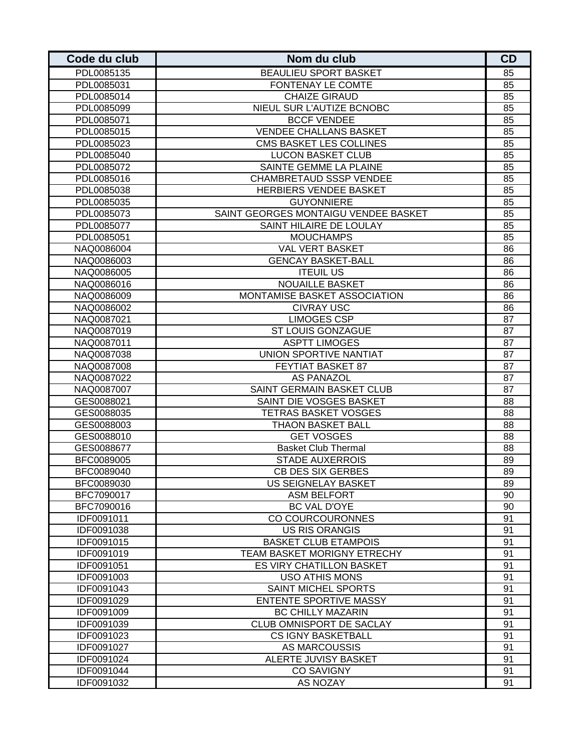| Code du club | Nom du club                          | <b>CD</b> |
|--------------|--------------------------------------|-----------|
| PDL0085135   | <b>BEAULIEU SPORT BASKET</b>         | 85        |
| PDL0085031   | FONTENAY LE COMTE                    | 85        |
| PDL0085014   | <b>CHAIZE GIRAUD</b>                 | 85        |
| PDL0085099   | NIEUL SUR L'AUTIZE BCNOBC            | 85        |
| PDL0085071   | <b>BCCF VENDEE</b>                   | 85        |
| PDL0085015   | <b>VENDEE CHALLANS BASKET</b>        | 85        |
| PDL0085023   | CMS BASKET LES COLLINES              | 85        |
| PDL0085040   | <b>LUCON BASKET CLUB</b>             | 85        |
| PDL0085072   | SAINTE GEMME LA PLAINE               | 85        |
| PDL0085016   | <b>CHAMBRETAUD SSSP VENDEE</b>       | 85        |
| PDL0085038   | HERBIERS VENDEE BASKET               | 85        |
| PDL0085035   | <b>GUYONNIERE</b>                    | 85        |
| PDL0085073   | SAINT GEORGES MONTAIGU VENDEE BASKET | 85        |
| PDL0085077   | SAINT HILAIRE DE LOULAY              | 85        |
| PDL0085051   | <b>MOUCHAMPS</b>                     | 85        |
| NAQ0086004   | <b>VAL VERT BASKET</b>               | 86        |
| NAQ0086003   | <b>GENCAY BASKET-BALL</b>            | 86        |
| NAQ0086005   | <b>ITEUIL US</b>                     | 86        |
| NAQ0086016   | <b>NOUAILLE BASKET</b>               | 86        |
| NAQ0086009   | MONTAMISE BASKET ASSOCIATION         | 86        |
| NAQ0086002   | <b>CIVRAY USC</b>                    | 86        |
| NAQ0087021   | <b>LIMOGES CSP</b>                   | 87        |
| NAQ0087019   | ST LOUIS GONZAGUE                    | 87        |
| NAQ0087011   | <b>ASPTT LIMOGES</b>                 | 87        |
| NAQ0087038   | UNION SPORTIVE NANTIAT               | 87        |
| NAQ0087008   | FEYTIAT BASKET 87                    | 87        |
| NAQ0087022   | <b>AS PANAZOL</b>                    | 87        |
| NAQ0087007   | SAINT GERMAIN BASKET CLUB            | 87        |
| GES0088021   | SAINT DIE VOSGES BASKET              | 88        |
| GES0088035   | <b>TETRAS BASKET VOSGES</b>          | 88        |
| GES0088003   | <b>THAON BASKET BALL</b>             | 88        |
| GES0088010   | <b>GET VOSGES</b>                    | 88        |
| GES0088677   | <b>Basket Club Thermal</b>           | 88        |
| BFC0089005   | <b>STADE AUXERROIS</b>               | 89        |
| BFC0089040   | <b>CB DES SIX GERBES</b>             | 89        |
| BFC0089030   | US SEIGNELAY BASKET                  | 89        |
| BFC7090017   | <b>ASM BELFORT</b>                   | 90        |
| BFC7090016   | BC VAL D'OYE                         | 90        |
| IDF0091011   | CO COURCOURONNES                     | 91        |
| IDF0091038   | <b>US RIS ORANGIS</b>                | 91        |
| IDF0091015   | <b>BASKET CLUB ETAMPOIS</b>          | 91        |
| IDF0091019   | TEAM BASKET MORIGNY ETRECHY          | 91        |
| IDF0091051   | ES VIRY CHATILLON BASKET             | 91        |
| IDF0091003   | <b>USO ATHIS MONS</b>                | 91        |
| IDF0091043   | <b>SAINT MICHEL SPORTS</b>           | 91        |
| IDF0091029   | <b>ENTENTE SPORTIVE MASSY</b>        | 91        |
| IDF0091009   | <b>BC CHILLY MAZARIN</b>             | 91        |
| IDF0091039   | CLUB OMNISPORT DE SACLAY             | 91        |
| IDF0091023   | <b>CS IGNY BASKETBALL</b>            | 91        |
| IDF0091027   | AS MARCOUSSIS                        | 91        |
| IDF0091024   | ALERTE JUVISY BASKET                 | 91        |
| IDF0091044   | <b>CO SAVIGNY</b>                    | 91        |
| IDF0091032   | AS NOZAY                             | 91        |